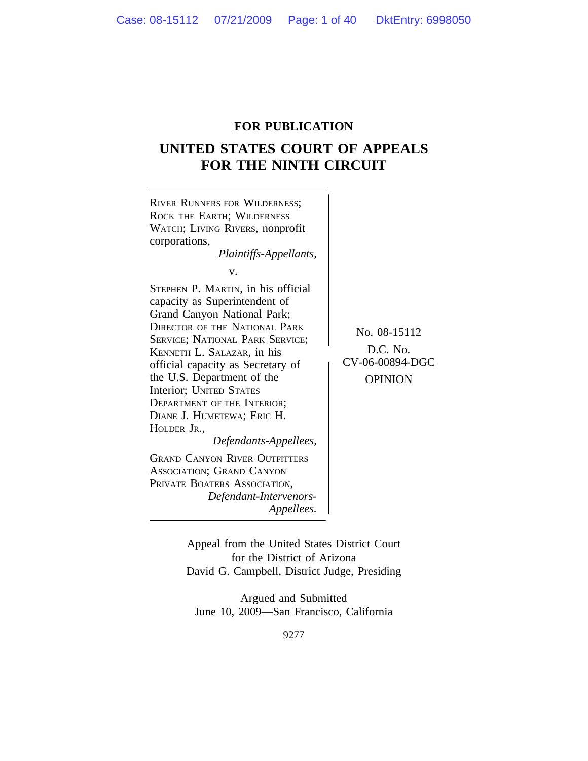# **FOR PUBLICATION**

# **UNITED STATES COURT OF APPEALS FOR THE NINTH CIRCUIT**



Appeal from the United States District Court for the District of Arizona David G. Campbell, District Judge, Presiding

Argued and Submitted June 10, 2009—San Francisco, California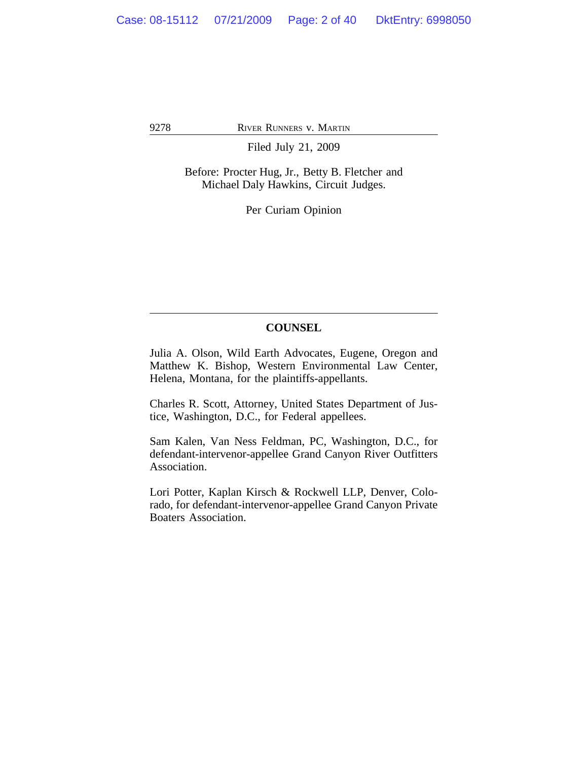Filed July 21, 2009

Before: Procter Hug, Jr., Betty B. Fletcher and Michael Daly Hawkins, Circuit Judges.

Per Curiam Opinion

# **COUNSEL**

Julia A. Olson, Wild Earth Advocates, Eugene, Oregon and Matthew K. Bishop, Western Environmental Law Center, Helena, Montana, for the plaintiffs-appellants.

Charles R. Scott, Attorney, United States Department of Justice, Washington, D.C., for Federal appellees.

Sam Kalen, Van Ness Feldman, PC, Washington, D.C., for defendant-intervenor-appellee Grand Canyon River Outfitters Association.

Lori Potter, Kaplan Kirsch & Rockwell LLP, Denver, Colorado, for defendant-intervenor-appellee Grand Canyon Private Boaters Association.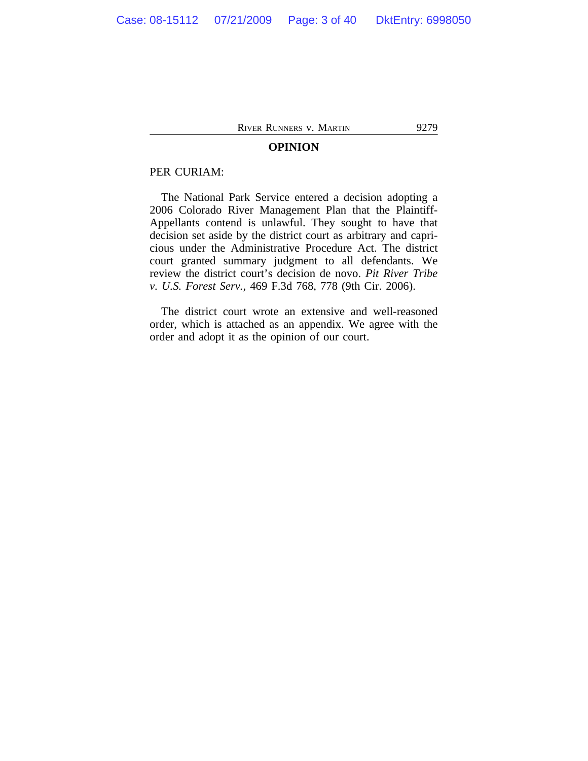## **OPINION**

## PER CURIAM:

The National Park Service entered a decision adopting a 2006 Colorado River Management Plan that the Plaintiff-Appellants contend is unlawful. They sought to have that decision set aside by the district court as arbitrary and capricious under the Administrative Procedure Act. The district court granted summary judgment to all defendants. We review the district court's decision de novo. *Pit River Tribe v. U.S. Forest Serv.*, 469 F.3d 768, 778 (9th Cir. 2006).

The district court wrote an extensive and well-reasoned order, which is attached as an appendix. We agree with the order and adopt it as the opinion of our court.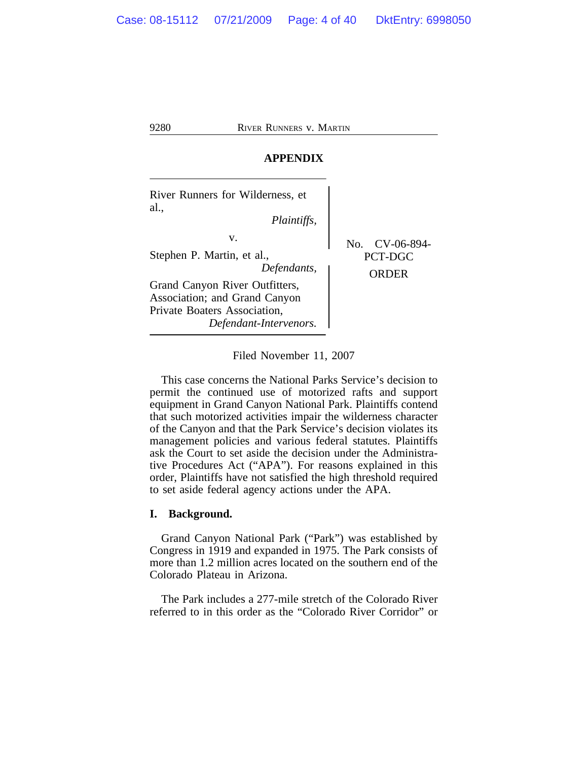# **APPENDIX**

| River Runners for Wilderness, et<br>al.,<br>Plaintiffs,                                                                                                                      |                                    |
|------------------------------------------------------------------------------------------------------------------------------------------------------------------------------|------------------------------------|
| v.<br>Stephen P. Martin, et al.,<br>Defendants,<br>Grand Canyon River Outfitters,<br>Association; and Grand Canyon<br>Private Boaters Association,<br>Defendant-Intervenors. | No. CV-06-894-<br>PCT-DGC<br>ORDER |

Filed November 11, 2007

This case concerns the National Parks Service's decision to permit the continued use of motorized rafts and support equipment in Grand Canyon National Park. Plaintiffs contend that such motorized activities impair the wilderness character of the Canyon and that the Park Service's decision violates its management policies and various federal statutes. Plaintiffs ask the Court to set aside the decision under the Administrative Procedures Act ("APA"). For reasons explained in this order, Plaintiffs have not satisfied the high threshold required to set aside federal agency actions under the APA.

## **I. Background.**

Grand Canyon National Park ("Park") was established by Congress in 1919 and expanded in 1975. The Park consists of more than 1.2 million acres located on the southern end of the Colorado Plateau in Arizona.

The Park includes a 277-mile stretch of the Colorado River referred to in this order as the "Colorado River Corridor" or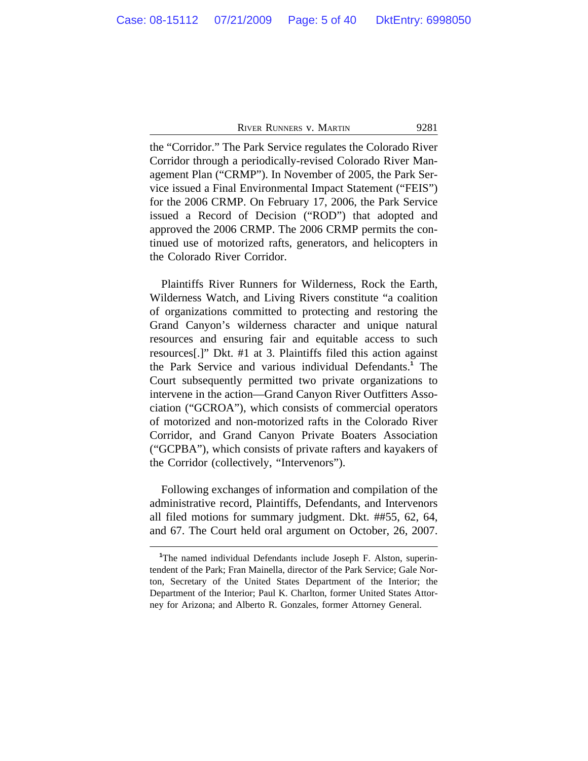the "Corridor." The Park Service regulates the Colorado River Corridor through a periodically-revised Colorado River Management Plan ("CRMP"). In November of 2005, the Park Service issued a Final Environmental Impact Statement ("FEIS") for the 2006 CRMP. On February 17, 2006, the Park Service issued a Record of Decision ("ROD") that adopted and approved the 2006 CRMP. The 2006 CRMP permits the continued use of motorized rafts, generators, and helicopters in the Colorado River Corridor.

Plaintiffs River Runners for Wilderness, Rock the Earth, Wilderness Watch, and Living Rivers constitute "a coalition of organizations committed to protecting and restoring the Grand Canyon's wilderness character and unique natural resources and ensuring fair and equitable access to such resources[.]" Dkt. #1 at 3. Plaintiffs filed this action against the Park Service and various individual Defendants.**<sup>1</sup>** The Court subsequently permitted two private organizations to intervene in the action—Grand Canyon River Outfitters Association ("GCROA"), which consists of commercial operators of motorized and non-motorized rafts in the Colorado River Corridor, and Grand Canyon Private Boaters Association ("GCPBA"), which consists of private rafters and kayakers of the Corridor (collectively, "Intervenors").

Following exchanges of information and compilation of the administrative record, Plaintiffs, Defendants, and Intervenors all filed motions for summary judgment. Dkt. ##55, 62, 64, and 67. The Court held oral argument on October, 26, 2007.

**<sup>1</sup>**The named individual Defendants include Joseph F. Alston, superintendent of the Park; Fran Mainella, director of the Park Service; Gale Norton, Secretary of the United States Department of the Interior; the Department of the Interior; Paul K. Charlton, former United States Attorney for Arizona; and Alberto R. Gonzales, former Attorney General.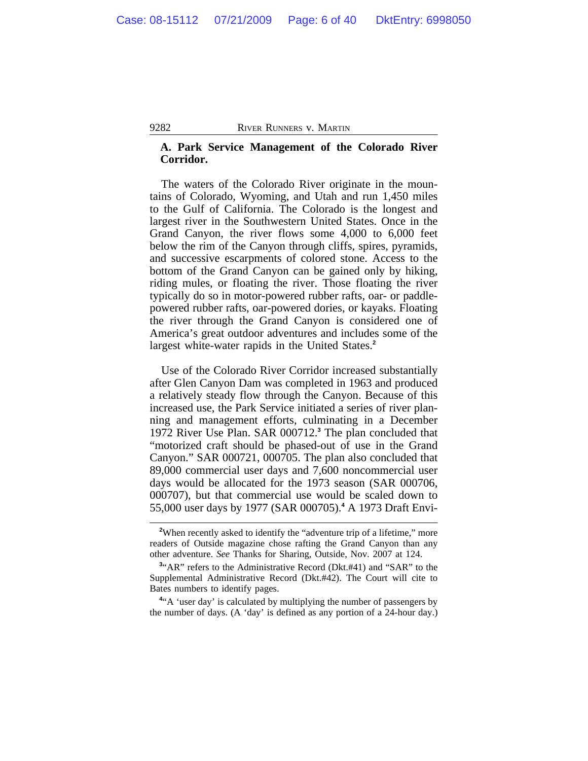## **A. Park Service Management of the Colorado River Corridor.**

The waters of the Colorado River originate in the mountains of Colorado, Wyoming, and Utah and run 1,450 miles to the Gulf of California. The Colorado is the longest and largest river in the Southwestern United States. Once in the Grand Canyon, the river flows some 4,000 to 6,000 feet below the rim of the Canyon through cliffs, spires, pyramids, and successive escarpments of colored stone. Access to the bottom of the Grand Canyon can be gained only by hiking, riding mules, or floating the river. Those floating the river typically do so in motor-powered rubber rafts, oar- or paddlepowered rubber rafts, oar-powered dories, or kayaks. Floating the river through the Grand Canyon is considered one of America's great outdoor adventures and includes some of the largest white-water rapids in the United States.**<sup>2</sup>**

Use of the Colorado River Corridor increased substantially after Glen Canyon Dam was completed in 1963 and produced a relatively steady flow through the Canyon. Because of this increased use, the Park Service initiated a series of river planning and management efforts, culminating in a December 1972 River Use Plan. SAR 000712.**<sup>3</sup>** The plan concluded that "motorized craft should be phased-out of use in the Grand Canyon." SAR 000721, 000705. The plan also concluded that 89,000 commercial user days and 7,600 noncommercial user days would be allocated for the 1973 season (SAR 000706, 000707), but that commercial use would be scaled down to 55,000 user days by 1977 (SAR 000705).**<sup>4</sup>** A 1973 Draft Envi-

<sup>4"</sup>A 'user day' is calculated by multiplying the number of passengers by the number of days. (A 'day' is defined as any portion of a 24-hour day.)

<sup>&</sup>lt;sup>2</sup>When recently asked to identify the "adventure trip of a lifetime," more readers of Outside magazine chose rafting the Grand Canyon than any other adventure. *See* Thanks for Sharing, Outside, Nov. 2007 at 124.

<sup>&</sup>lt;sup>3</sup><sup>4</sup>AR" refers to the Administrative Record (Dkt.#41) and "SAR" to the Supplemental Administrative Record (Dkt.#42). The Court will cite to Bates numbers to identify pages.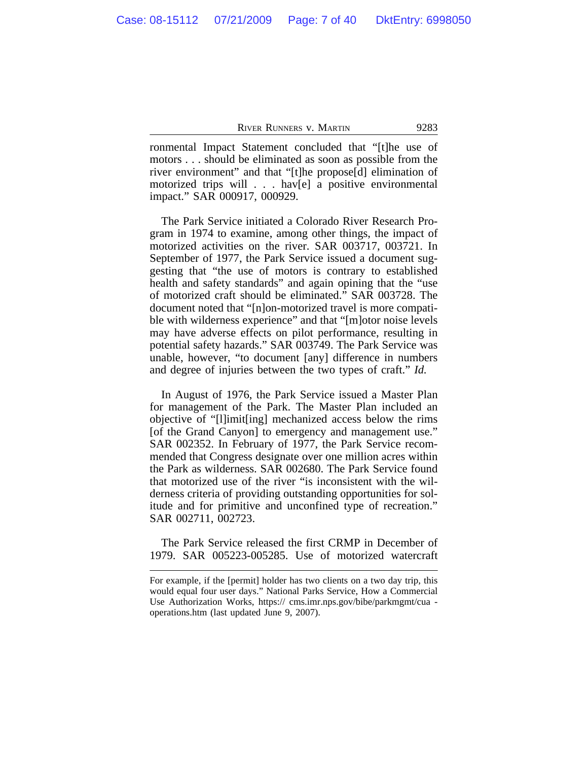ronmental Impact Statement concluded that "[t]he use of motors . . . should be eliminated as soon as possible from the river environment" and that "[t]he propose[d] elimination of motorized trips will . . . hav[e] a positive environmental impact." SAR 000917, 000929.

The Park Service initiated a Colorado River Research Program in 1974 to examine, among other things, the impact of motorized activities on the river. SAR 003717, 003721. In September of 1977, the Park Service issued a document suggesting that "the use of motors is contrary to established health and safety standards" and again opining that the "use of motorized craft should be eliminated." SAR 003728. The document noted that "[n]on-motorized travel is more compatible with wilderness experience" and that "[m]otor noise levels may have adverse effects on pilot performance, resulting in potential safety hazards." SAR 003749. The Park Service was unable, however, "to document [any] difference in numbers and degree of injuries between the two types of craft." *Id.*

In August of 1976, the Park Service issued a Master Plan for management of the Park. The Master Plan included an objective of "[l]imit[ing] mechanized access below the rims [of the Grand Canyon] to emergency and management use." SAR 002352. In February of 1977, the Park Service recommended that Congress designate over one million acres within the Park as wilderness. SAR 002680. The Park Service found that motorized use of the river "is inconsistent with the wilderness criteria of providing outstanding opportunities for solitude and for primitive and unconfined type of recreation." SAR 002711, 002723.

The Park Service released the first CRMP in December of 1979. SAR 005223-005285. Use of motorized watercraft

For example, if the [permit] holder has two clients on a two day trip, this would equal four user days." National Parks Service, How a Commercial Use Authorization Works, https:// cms.imr.nps.gov/bibe/parkmgmt/cua operations.htm (last updated June 9, 2007).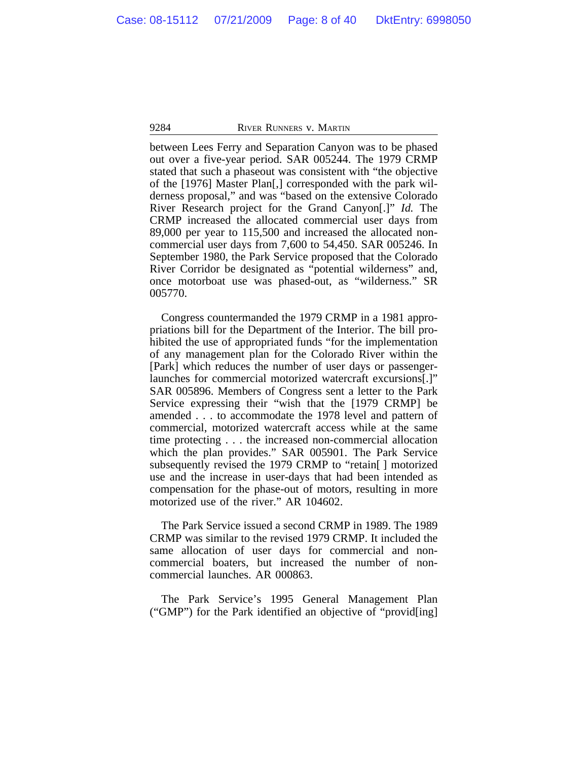between Lees Ferry and Separation Canyon was to be phased out over a five-year period. SAR 005244. The 1979 CRMP stated that such a phaseout was consistent with "the objective of the [1976] Master Plan[,] corresponded with the park wilderness proposal," and was "based on the extensive Colorado River Research project for the Grand Canyon[.]" *Id.* The CRMP increased the allocated commercial user days from 89,000 per year to 115,500 and increased the allocated noncommercial user days from 7,600 to 54,450. SAR 005246. In September 1980, the Park Service proposed that the Colorado River Corridor be designated as "potential wilderness" and, once motorboat use was phased-out, as "wilderness." SR 005770.

Congress countermanded the 1979 CRMP in a 1981 appropriations bill for the Department of the Interior. The bill prohibited the use of appropriated funds "for the implementation of any management plan for the Colorado River within the [Park] which reduces the number of user days or passengerlaunches for commercial motorized watercraft excursions[.]" SAR 005896. Members of Congress sent a letter to the Park Service expressing their "wish that the [1979 CRMP] be amended . . . to accommodate the 1978 level and pattern of commercial, motorized watercraft access while at the same time protecting . . . the increased non-commercial allocation which the plan provides." SAR 005901. The Park Service subsequently revised the 1979 CRMP to "retain[ ] motorized use and the increase in user-days that had been intended as compensation for the phase-out of motors, resulting in more motorized use of the river." AR 104602.

The Park Service issued a second CRMP in 1989. The 1989 CRMP was similar to the revised 1979 CRMP. It included the same allocation of user days for commercial and noncommercial boaters, but increased the number of noncommercial launches. AR 000863.

The Park Service's 1995 General Management Plan ("GMP") for the Park identified an objective of "provid[ing]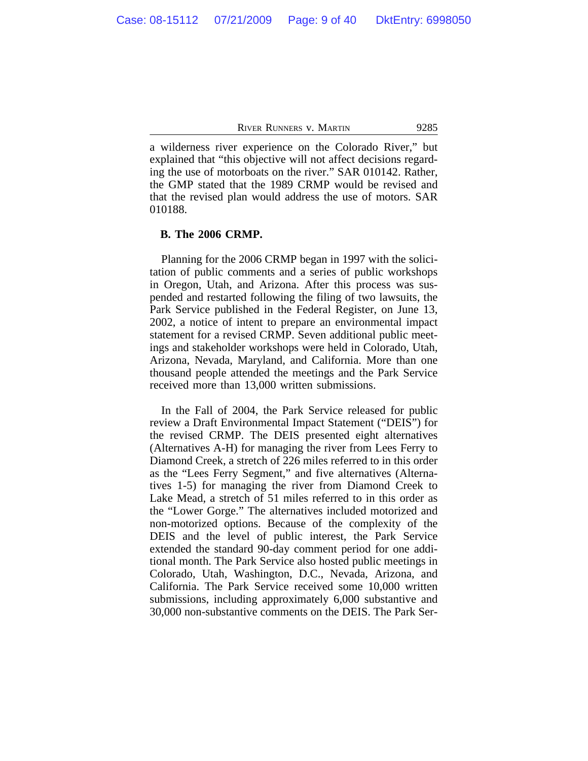a wilderness river experience on the Colorado River," but explained that "this objective will not affect decisions regarding the use of motorboats on the river." SAR 010142. Rather, the GMP stated that the 1989 CRMP would be revised and that the revised plan would address the use of motors. SAR 010188.

## **B. The 2006 CRMP.**

Planning for the 2006 CRMP began in 1997 with the solicitation of public comments and a series of public workshops in Oregon, Utah, and Arizona. After this process was suspended and restarted following the filing of two lawsuits, the Park Service published in the Federal Register, on June 13, 2002, a notice of intent to prepare an environmental impact statement for a revised CRMP. Seven additional public meetings and stakeholder workshops were held in Colorado, Utah, Arizona, Nevada, Maryland, and California. More than one thousand people attended the meetings and the Park Service received more than 13,000 written submissions.

In the Fall of 2004, the Park Service released for public review a Draft Environmental Impact Statement ("DEIS") for the revised CRMP. The DEIS presented eight alternatives (Alternatives A-H) for managing the river from Lees Ferry to Diamond Creek, a stretch of 226 miles referred to in this order as the "Lees Ferry Segment," and five alternatives (Alternatives 1-5) for managing the river from Diamond Creek to Lake Mead, a stretch of 51 miles referred to in this order as the "Lower Gorge." The alternatives included motorized and non-motorized options. Because of the complexity of the DEIS and the level of public interest, the Park Service extended the standard 90-day comment period for one additional month. The Park Service also hosted public meetings in Colorado, Utah, Washington, D.C., Nevada, Arizona, and California. The Park Service received some 10,000 written submissions, including approximately 6,000 substantive and 30,000 non-substantive comments on the DEIS. The Park Ser-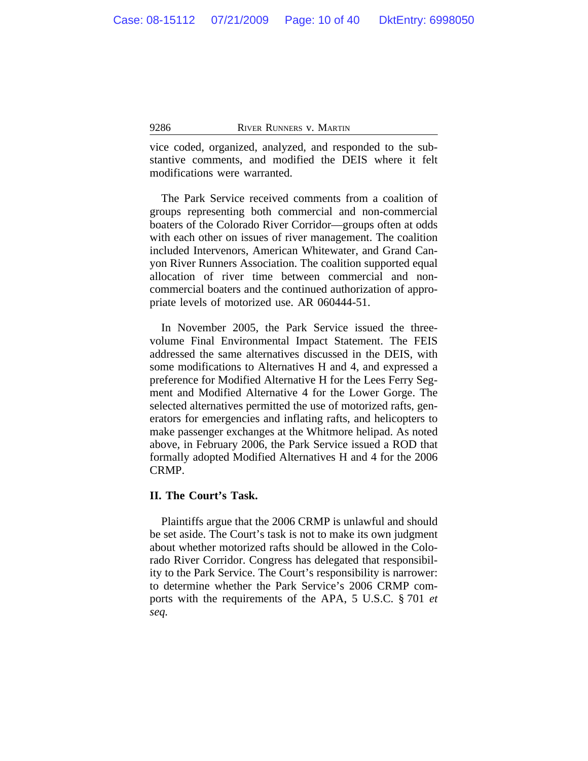vice coded, organized, analyzed, and responded to the substantive comments, and modified the DEIS where it felt modifications were warranted.

The Park Service received comments from a coalition of groups representing both commercial and non-commercial boaters of the Colorado River Corridor—groups often at odds with each other on issues of river management. The coalition included Intervenors, American Whitewater, and Grand Canyon River Runners Association. The coalition supported equal allocation of river time between commercial and noncommercial boaters and the continued authorization of appropriate levels of motorized use. AR 060444-51.

In November 2005, the Park Service issued the threevolume Final Environmental Impact Statement. The FEIS addressed the same alternatives discussed in the DEIS, with some modifications to Alternatives H and 4, and expressed a preference for Modified Alternative H for the Lees Ferry Segment and Modified Alternative 4 for the Lower Gorge. The selected alternatives permitted the use of motorized rafts, generators for emergencies and inflating rafts, and helicopters to make passenger exchanges at the Whitmore helipad. As noted above, in February 2006, the Park Service issued a ROD that formally adopted Modified Alternatives H and 4 for the 2006 CRMP.

#### **II. The Court's Task.**

Plaintiffs argue that the 2006 CRMP is unlawful and should be set aside. The Court's task is not to make its own judgment about whether motorized rafts should be allowed in the Colorado River Corridor. Congress has delegated that responsibility to the Park Service. The Court's responsibility is narrower: to determine whether the Park Service's 2006 CRMP comports with the requirements of the APA, 5 U.S.C. § 701 *et seq.*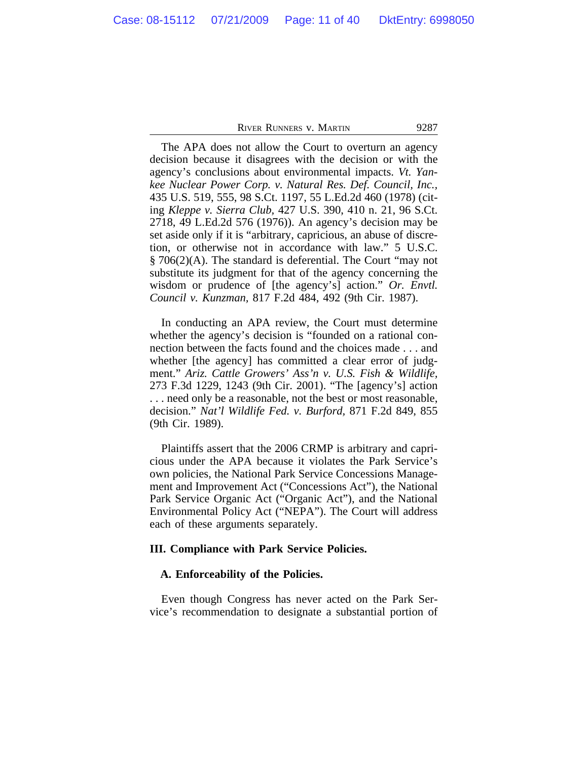The APA does not allow the Court to overturn an agency decision because it disagrees with the decision or with the agency's conclusions about environmental impacts. *Vt. Yankee Nuclear Power Corp. v. Natural Res. Def. Council, Inc.,* 435 U.S. 519, 555, 98 S.Ct. 1197, 55 L.Ed.2d 460 (1978) (citing *Kleppe v. Sierra Club,* 427 U.S. 390, 410 n. 21, 96 S.Ct. 2718, 49 L.Ed.2d 576 (1976)). An agency's decision may be set aside only if it is "arbitrary, capricious, an abuse of discretion, or otherwise not in accordance with law." 5 U.S.C. § 706(2)(A). The standard is deferential. The Court "may not substitute its judgment for that of the agency concerning the wisdom or prudence of [the agency's] action." *Or. Envtl. Council v. Kunzman,* 817 F.2d 484, 492 (9th Cir. 1987).

In conducting an APA review, the Court must determine whether the agency's decision is "founded on a rational connection between the facts found and the choices made . . . and whether [the agency] has committed a clear error of judgment." *Ariz. Cattle Growers' Ass'n v. U.S. Fish & Wildlife,* 273 F.3d 1229, 1243 (9th Cir. 2001). "The [agency's] action . . . need only be a reasonable, not the best or most reasonable, decision." *Nat'l Wildlife Fed. v. Burford,* 871 F.2d 849, 855 (9th Cir. 1989).

Plaintiffs assert that the 2006 CRMP is arbitrary and capricious under the APA because it violates the Park Service's own policies, the National Park Service Concessions Management and Improvement Act ("Concessions Act"), the National Park Service Organic Act ("Organic Act"), and the National Environmental Policy Act ("NEPA"). The Court will address each of these arguments separately.

# **III. Compliance with Park Service Policies.**

#### **A. Enforceability of the Policies.**

Even though Congress has never acted on the Park Service's recommendation to designate a substantial portion of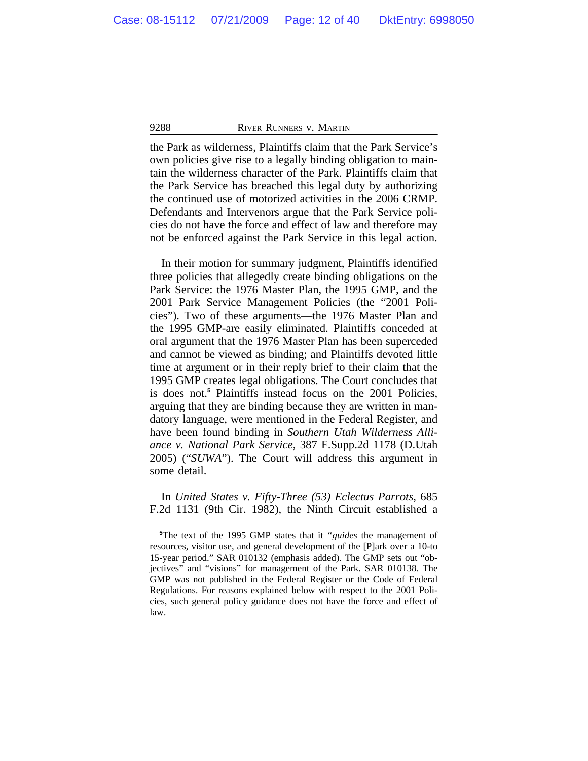the Park as wilderness, Plaintiffs claim that the Park Service's own policies give rise to a legally binding obligation to maintain the wilderness character of the Park. Plaintiffs claim that the Park Service has breached this legal duty by authorizing the continued use of motorized activities in the 2006 CRMP. Defendants and Intervenors argue that the Park Service policies do not have the force and effect of law and therefore may not be enforced against the Park Service in this legal action.

In their motion for summary judgment, Plaintiffs identified three policies that allegedly create binding obligations on the Park Service: the 1976 Master Plan, the 1995 GMP, and the 2001 Park Service Management Policies (the "2001 Policies"). Two of these arguments—the 1976 Master Plan and the 1995 GMP-are easily eliminated. Plaintiffs conceded at oral argument that the 1976 Master Plan has been superceded and cannot be viewed as binding; and Plaintiffs devoted little time at argument or in their reply brief to their claim that the 1995 GMP creates legal obligations. The Court concludes that is does not.**<sup>5</sup>** Plaintiffs instead focus on the 2001 Policies, arguing that they are binding because they are written in mandatory language, were mentioned in the Federal Register, and have been found binding in *Southern Utah Wilderness Alliance v. National Park Service,* 387 F.Supp.2d 1178 (D.Utah 2005) ("*SUWA*"). The Court will address this argument in some detail.

In *United States v. Fifty-Three (53) Eclectus Parrots,* 685 F.2d 1131 (9th Cir. 1982), the Ninth Circuit established a

**<sup>5</sup>**The text of the 1995 GMP states that it *"guides* the management of resources, visitor use, and general development of the [P]ark over a 10-to 15-year period." SAR 010132 (emphasis added). The GMP sets out "objectives" and "visions" for management of the Park. SAR 010138. The GMP was not published in the Federal Register or the Code of Federal Regulations. For reasons explained below with respect to the 2001 Policies, such general policy guidance does not have the force and effect of law.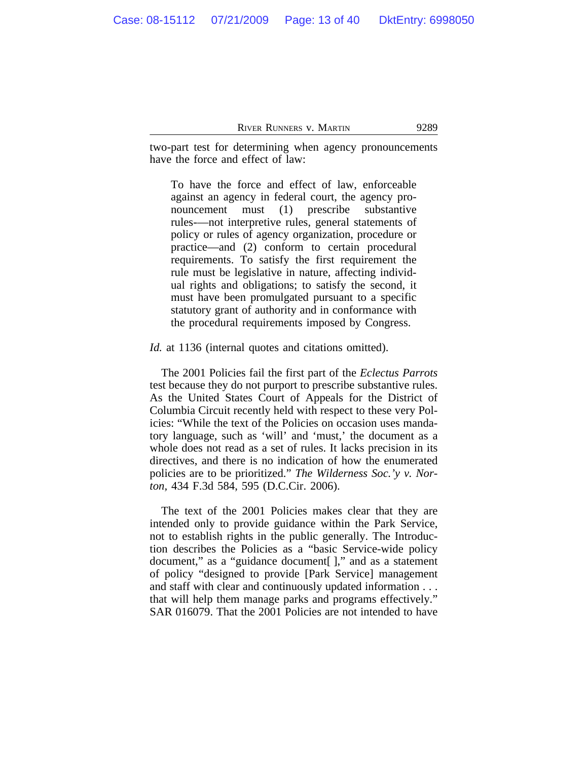two-part test for determining when agency pronouncements have the force and effect of law:

To have the force and effect of law, enforceable against an agency in federal court, the agency pronouncement must (1) prescribe substantive rules-—not interpretive rules, general statements of policy or rules of agency organization, procedure or practice—and (2) conform to certain procedural requirements. To satisfy the first requirement the rule must be legislative in nature, affecting individual rights and obligations; to satisfy the second, it must have been promulgated pursuant to a specific statutory grant of authority and in conformance with the procedural requirements imposed by Congress.

*Id.* at 1136 (internal quotes and citations omitted).

The 2001 Policies fail the first part of the *Eclectus Parrots* test because they do not purport to prescribe substantive rules. As the United States Court of Appeals for the District of Columbia Circuit recently held with respect to these very Policies: "While the text of the Policies on occasion uses mandatory language, such as 'will' and 'must,' the document as a whole does not read as a set of rules. It lacks precision in its directives, and there is no indication of how the enumerated policies are to be prioritized." *The Wilderness Soc.'y v. Norton,* 434 F.3d 584, 595 (D.C.Cir. 2006).

The text of the 2001 Policies makes clear that they are intended only to provide guidance within the Park Service, not to establish rights in the public generally. The Introduction describes the Policies as a "basic Service-wide policy document," as a "guidance document[ ]," and as a statement of policy "designed to provide [Park Service] management and staff with clear and continuously updated information . . . that will help them manage parks and programs effectively." SAR 016079. That the 2001 Policies are not intended to have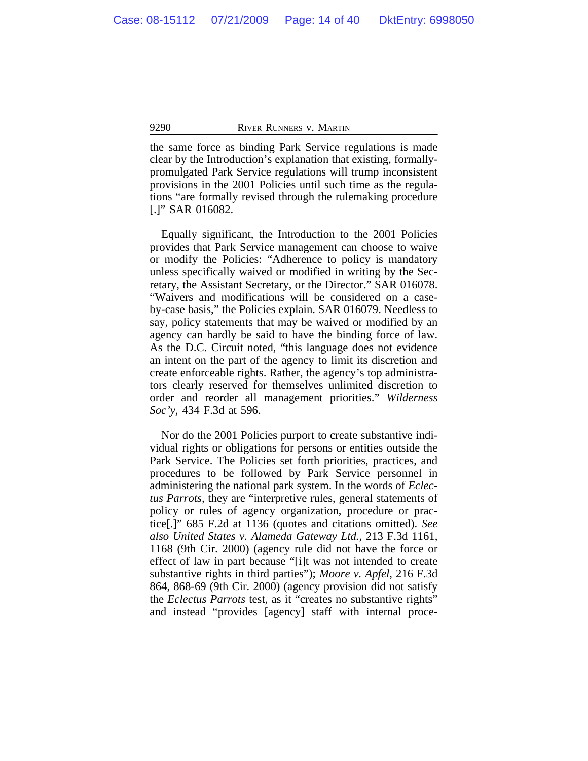the same force as binding Park Service regulations is made clear by the Introduction's explanation that existing, formallypromulgated Park Service regulations will trump inconsistent provisions in the 2001 Policies until such time as the regulations "are formally revised through the rulemaking procedure [.]" SAR 016082.

Equally significant, the Introduction to the 2001 Policies provides that Park Service management can choose to waive or modify the Policies: "Adherence to policy is mandatory unless specifically waived or modified in writing by the Secretary, the Assistant Secretary, or the Director." SAR 016078. "Waivers and modifications will be considered on a caseby-case basis," the Policies explain. SAR 016079. Needless to say, policy statements that may be waived or modified by an agency can hardly be said to have the binding force of law. As the D.C. Circuit noted, "this language does not evidence an intent on the part of the agency to limit its discretion and create enforceable rights. Rather, the agency's top administrators clearly reserved for themselves unlimited discretion to order and reorder all management priorities." *Wilderness Soc'y,* 434 F.3d at 596.

Nor do the 2001 Policies purport to create substantive individual rights or obligations for persons or entities outside the Park Service. The Policies set forth priorities, practices, and procedures to be followed by Park Service personnel in administering the national park system. In the words of *Eclectus Parrots,* they are "interpretive rules, general statements of policy or rules of agency organization, procedure or practice[.]" 685 F.2d at 1136 (quotes and citations omitted). *See also United States v. Alameda Gateway Ltd.,* 213 F.3d 1161, 1168 (9th Cir. 2000) (agency rule did not have the force or effect of law in part because "[i]t was not intended to create substantive rights in third parties"); *Moore v. Apfel,* 216 F.3d 864, 868-69 (9th Cir. 2000) (agency provision did not satisfy the *Eclectus Parrots* test, as it "creates no substantive rights" and instead "provides [agency] staff with internal proce-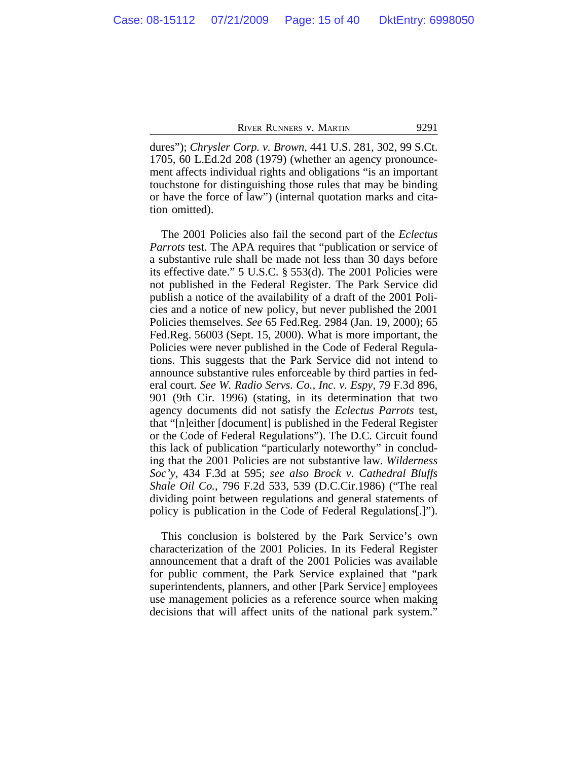dures"); *Chrysler Corp. v. Brown,* 441 U.S. 281, 302, 99 S.Ct. 1705, 60 L.Ed.2d 208 (1979) (whether an agency pronouncement affects individual rights and obligations "is an important touchstone for distinguishing those rules that may be binding or have the force of law") (internal quotation marks and citation omitted).

The 2001 Policies also fail the second part of the *Eclectus Parrots* test. The APA requires that "publication or service of a substantive rule shall be made not less than 30 days before its effective date." 5 U.S.C. § 553(d). The 2001 Policies were not published in the Federal Register. The Park Service did publish a notice of the availability of a draft of the 2001 Policies and a notice of new policy, but never published the 2001 Policies themselves. *See* 65 Fed.Reg. 2984 (Jan. 19, 2000); 65 Fed.Reg. 56003 (Sept. 15, 2000). What is more important, the Policies were never published in the Code of Federal Regulations. This suggests that the Park Service did not intend to announce substantive rules enforceable by third parties in federal court. *See W. Radio Servs. Co., Inc. v. Espy,* 79 F.3d 896, 901 (9th Cir. 1996) (stating, in its determination that two agency documents did not satisfy the *Eclectus Parrots* test, that "[n]either [document] is published in the Federal Register or the Code of Federal Regulations"). The D.C. Circuit found this lack of publication "particularly noteworthy" in concluding that the 2001 Policies are not substantive law. *Wilderness Soc'y,* 434 F.3d at 595; *see also Brock v. Cathedral Bluffs Shale Oil Co.,* 796 F.2d 533, 539 (D.C.Cir.1986) ("The real dividing point between regulations and general statements of policy is publication in the Code of Federal Regulations[.]").

This conclusion is bolstered by the Park Service's own characterization of the 2001 Policies. In its Federal Register announcement that a draft of the 2001 Policies was available for public comment, the Park Service explained that "park superintendents, planners, and other [Park Service] employees use management policies as a reference source when making decisions that will affect units of the national park system."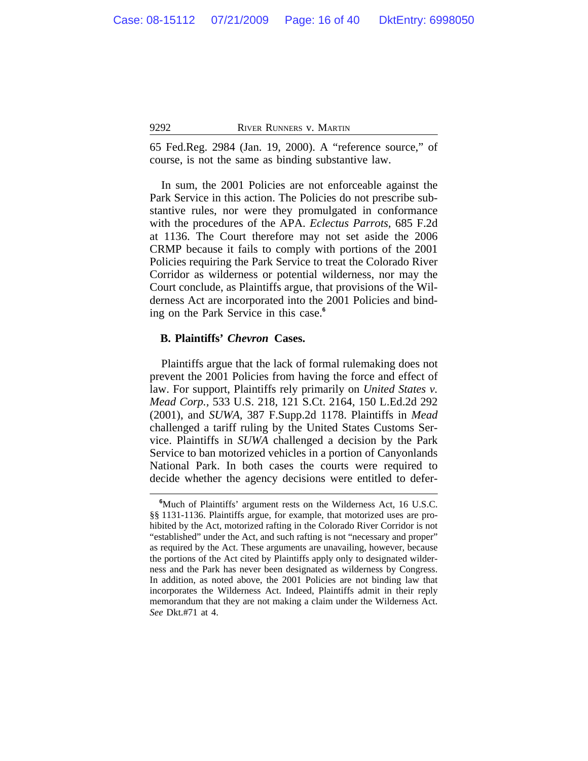65 Fed.Reg. 2984 (Jan. 19, 2000). A "reference source," of course, is not the same as binding substantive law.

In sum, the 2001 Policies are not enforceable against the Park Service in this action. The Policies do not prescribe substantive rules, nor were they promulgated in conformance with the procedures of the APA. *Eclectus Parrots,* 685 F.2d at 1136. The Court therefore may not set aside the 2006 CRMP because it fails to comply with portions of the 2001 Policies requiring the Park Service to treat the Colorado River Corridor as wilderness or potential wilderness, nor may the Court conclude, as Plaintiffs argue, that provisions of the Wilderness Act are incorporated into the 2001 Policies and binding on the Park Service in this case.**<sup>6</sup>**

## **B. Plaintiffs'** *Chevron* **Cases.**

Plaintiffs argue that the lack of formal rulemaking does not prevent the 2001 Policies from having the force and effect of law. For support, Plaintiffs rely primarily on *United States v. Mead Corp.,* 533 U.S. 218, 121 S.Ct. 2164, 150 L.Ed.2d 292 (2001), and *SUWA,* 387 F.Supp.2d 1178. Plaintiffs in *Mead* challenged a tariff ruling by the United States Customs Service. Plaintiffs in *SUWA* challenged a decision by the Park Service to ban motorized vehicles in a portion of Canyonlands National Park. In both cases the courts were required to decide whether the agency decisions were entitled to defer-

**<sup>6</sup>**Much of Plaintiffs' argument rests on the Wilderness Act, 16 U.S.C. §§ 1131-1136. Plaintiffs argue, for example, that motorized uses are prohibited by the Act, motorized rafting in the Colorado River Corridor is not "established" under the Act, and such rafting is not "necessary and proper" as required by the Act. These arguments are unavailing, however, because the portions of the Act cited by Plaintiffs apply only to designated wilderness and the Park has never been designated as wilderness by Congress. In addition, as noted above, the 2001 Policies are not binding law that incorporates the Wilderness Act. Indeed, Plaintiffs admit in their reply memorandum that they are not making a claim under the Wilderness Act. *See* Dkt.#71 at 4.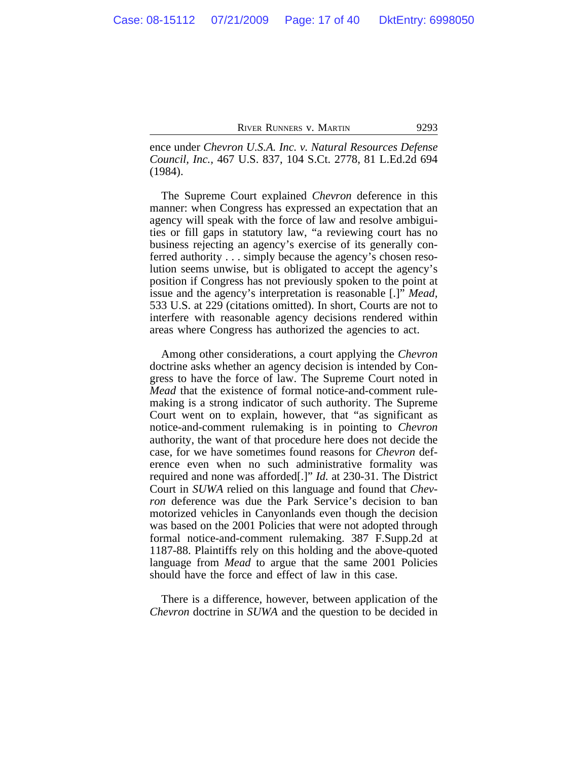ence under *Chevron U.S.A. Inc. v. Natural Resources Defense Council, Inc.,* 467 U.S. 837, 104 S.Ct. 2778, 81 L.Ed.2d 694 (1984).

The Supreme Court explained *Chevron* deference in this manner: when Congress has expressed an expectation that an agency will speak with the force of law and resolve ambiguities or fill gaps in statutory law, "a reviewing court has no business rejecting an agency's exercise of its generally conferred authority . . . simply because the agency's chosen resolution seems unwise, but is obligated to accept the agency's position if Congress has not previously spoken to the point at issue and the agency's interpretation is reasonable [.]" *Mead,* 533 U.S. at 229 (citations omitted). In short, Courts are not to interfere with reasonable agency decisions rendered within areas where Congress has authorized the agencies to act.

Among other considerations, a court applying the *Chevron* doctrine asks whether an agency decision is intended by Congress to have the force of law. The Supreme Court noted in *Mead* that the existence of formal notice-and-comment rulemaking is a strong indicator of such authority. The Supreme Court went on to explain, however, that "as significant as notice-and-comment rulemaking is in pointing to *Chevron* authority, the want of that procedure here does not decide the case, for we have sometimes found reasons for *Chevron* deference even when no such administrative formality was required and none was afforded[.]" *Id.* at 230-31. The District Court in *SUWA* relied on this language and found that *Chevron* deference was due the Park Service's decision to ban motorized vehicles in Canyonlands even though the decision was based on the 2001 Policies that were not adopted through formal notice-and-comment rulemaking. 387 F.Supp.2d at 1187-88. Plaintiffs rely on this holding and the above-quoted language from *Mead* to argue that the same 2001 Policies should have the force and effect of law in this case.

There is a difference, however, between application of the *Chevron* doctrine in *SUWA* and the question to be decided in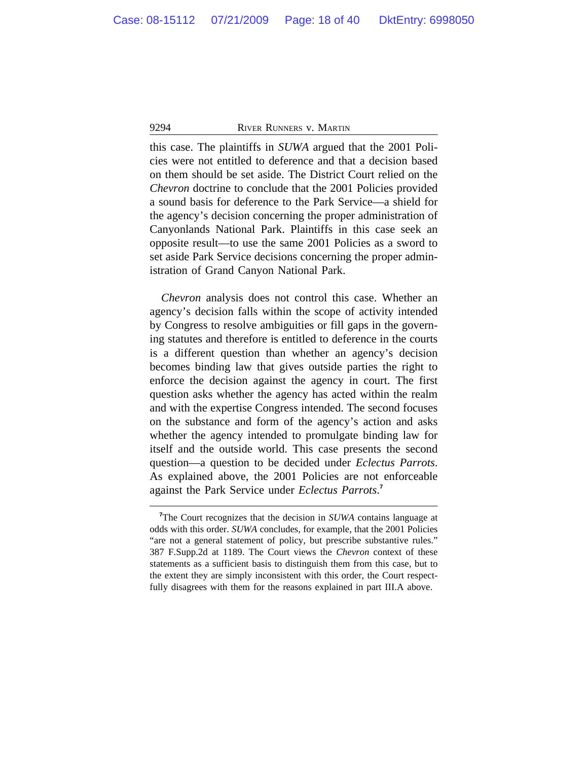this case. The plaintiffs in *SUWA* argued that the 2001 Policies were not entitled to deference and that a decision based on them should be set aside. The District Court relied on the *Chevron* doctrine to conclude that the 2001 Policies provided a sound basis for deference to the Park Service—a shield for the agency's decision concerning the proper administration of Canyonlands National Park. Plaintiffs in this case seek an opposite result—to use the same 2001 Policies as a sword to set aside Park Service decisions concerning the proper administration of Grand Canyon National Park.

*Chevron* analysis does not control this case. Whether an agency's decision falls within the scope of activity intended by Congress to resolve ambiguities or fill gaps in the governing statutes and therefore is entitled to deference in the courts is a different question than whether an agency's decision becomes binding law that gives outside parties the right to enforce the decision against the agency in court. The first question asks whether the agency has acted within the realm and with the expertise Congress intended. The second focuses on the substance and form of the agency's action and asks whether the agency intended to promulgate binding law for itself and the outside world. This case presents the second question—a question to be decided under *Eclectus Parrots*. As explained above, the 2001 Policies are not enforceable against the Park Service under *Eclectus Parrots*. **7**

**<sup>7</sup>**The Court recognizes that the decision in *SUWA* contains language at odds with this order. *SUWA* concludes, for example, that the 2001 Policies "are not a general statement of policy, but prescribe substantive rules." 387 F.Supp.2d at 1189. The Court views the *Chevron* context of these statements as a sufficient basis to distinguish them from this case, but to the extent they are simply inconsistent with this order, the Court respectfully disagrees with them for the reasons explained in part III.A above.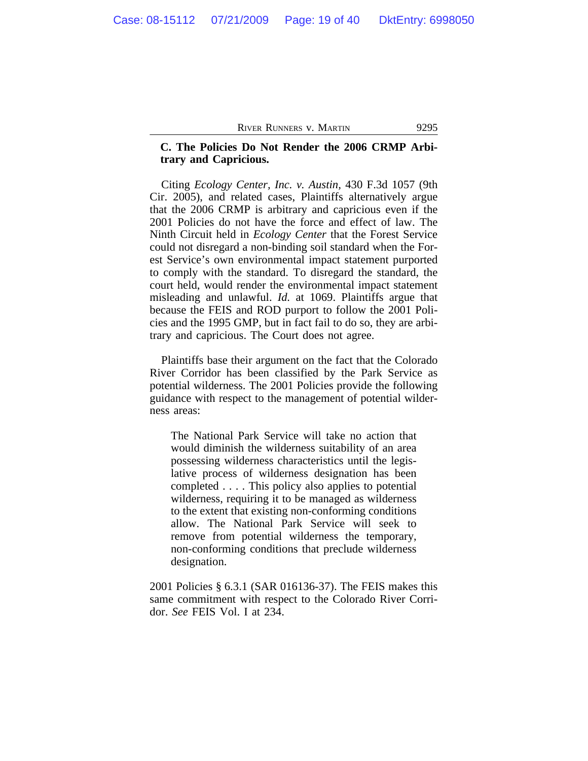# **C. The Policies Do Not Render the 2006 CRMP Arbitrary and Capricious.**

Citing *Ecology Center, Inc. v. Austin,* 430 F.3d 1057 (9th Cir. 2005), and related cases, Plaintiffs alternatively argue that the 2006 CRMP is arbitrary and capricious even if the 2001 Policies do not have the force and effect of law. The Ninth Circuit held in *Ecology Center* that the Forest Service could not disregard a non-binding soil standard when the Forest Service's own environmental impact statement purported to comply with the standard. To disregard the standard, the court held, would render the environmental impact statement misleading and unlawful. *Id.* at 1069. Plaintiffs argue that because the FEIS and ROD purport to follow the 2001 Policies and the 1995 GMP, but in fact fail to do so, they are arbitrary and capricious. The Court does not agree.

Plaintiffs base their argument on the fact that the Colorado River Corridor has been classified by the Park Service as potential wilderness. The 2001 Policies provide the following guidance with respect to the management of potential wilderness areas:

The National Park Service will take no action that would diminish the wilderness suitability of an area possessing wilderness characteristics until the legislative process of wilderness designation has been completed . . . . This policy also applies to potential wilderness, requiring it to be managed as wilderness to the extent that existing non-conforming conditions allow. The National Park Service will seek to remove from potential wilderness the temporary, non-conforming conditions that preclude wilderness designation.

2001 Policies § 6.3.1 (SAR 016136-37). The FEIS makes this same commitment with respect to the Colorado River Corridor. *See* FEIS Vol. I at 234.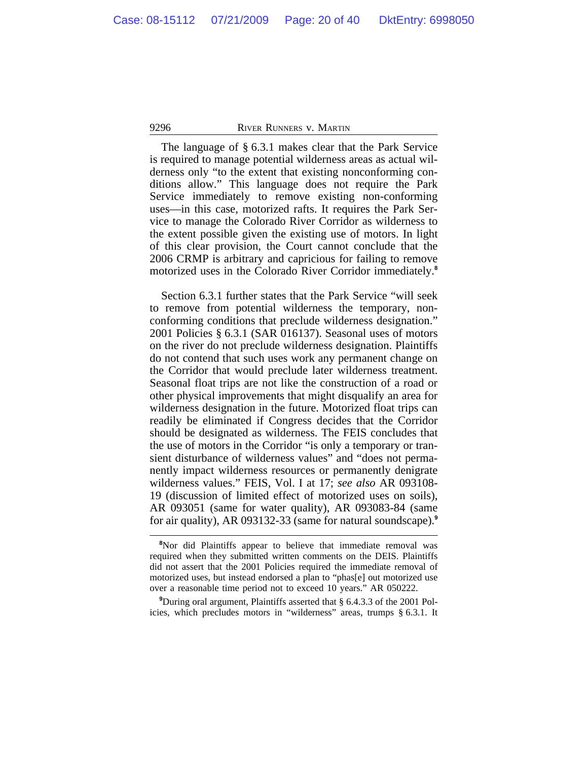The language of § 6.3.1 makes clear that the Park Service is required to manage potential wilderness areas as actual wilderness only "to the extent that existing nonconforming conditions allow." This language does not require the Park Service immediately to remove existing non-conforming uses—in this case, motorized rafts. It requires the Park Service to manage the Colorado River Corridor as wilderness to the extent possible given the existing use of motors. In light of this clear provision, the Court cannot conclude that the 2006 CRMP is arbitrary and capricious for failing to remove motorized uses in the Colorado River Corridor immediately.**<sup>8</sup>**

Section 6.3.1 further states that the Park Service "will seek to remove from potential wilderness the temporary, nonconforming conditions that preclude wilderness designation." 2001 Policies § 6.3.1 (SAR 016137). Seasonal uses of motors on the river do not preclude wilderness designation. Plaintiffs do not contend that such uses work any permanent change on the Corridor that would preclude later wilderness treatment. Seasonal float trips are not like the construction of a road or other physical improvements that might disqualify an area for wilderness designation in the future. Motorized float trips can readily be eliminated if Congress decides that the Corridor should be designated as wilderness. The FEIS concludes that the use of motors in the Corridor "is only a temporary or transient disturbance of wilderness values" and "does not permanently impact wilderness resources or permanently denigrate wilderness values." FEIS, Vol. I at 17; *see also* AR 093108- 19 (discussion of limited effect of motorized uses on soils), AR 093051 (same for water quality), AR 093083-84 (same for air quality), AR 093132-33 (same for natural soundscape).**<sup>9</sup>**

**<sup>8</sup>**Nor did Plaintiffs appear to believe that immediate removal was required when they submitted written comments on the DEIS. Plaintiffs did not assert that the 2001 Policies required the immediate removal of motorized uses, but instead endorsed a plan to "phas[e] out motorized use over a reasonable time period not to exceed 10 years." AR 050222.

**<sup>9</sup>**During oral argument, Plaintiffs asserted that § 6.4.3.3 of the 2001 Policies, which precludes motors in "wilderness" areas, trumps § 6.3.1. It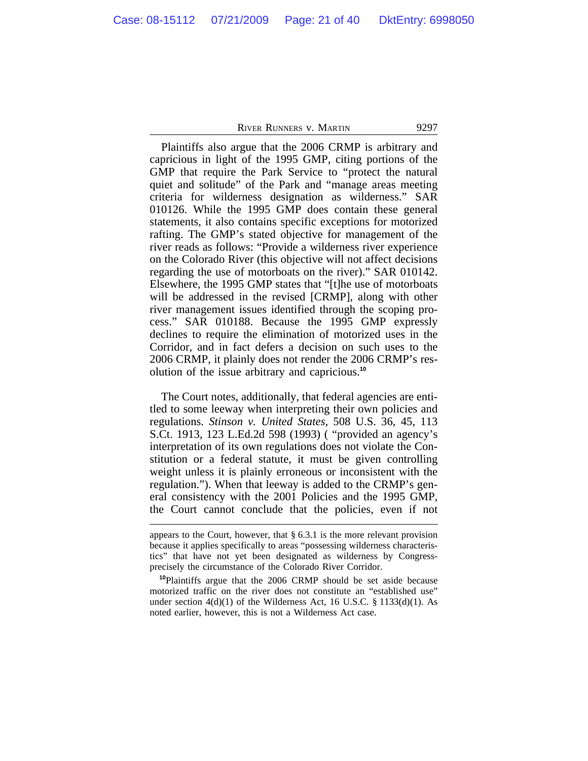Plaintiffs also argue that the 2006 CRMP is arbitrary and capricious in light of the 1995 GMP, citing portions of the GMP that require the Park Service to "protect the natural quiet and solitude" of the Park and "manage areas meeting criteria for wilderness designation as wilderness." SAR 010126. While the 1995 GMP does contain these general statements, it also contains specific exceptions for motorized rafting. The GMP's stated objective for management of the river reads as follows: "Provide a wilderness river experience on the Colorado River (this objective will not affect decisions regarding the use of motorboats on the river)." SAR 010142. Elsewhere, the 1995 GMP states that "[t]he use of motorboats will be addressed in the revised [CRMP], along with other river management issues identified through the scoping process." SAR 010188. Because the 1995 GMP expressly declines to require the elimination of motorized uses in the Corridor, and in fact defers a decision on such uses to the 2006 CRMP, it plainly does not render the 2006 CRMP's resolution of the issue arbitrary and capricious.**<sup>10</sup>**

The Court notes, additionally, that federal agencies are entitled to some leeway when interpreting their own policies and regulations. *Stinson v. United States,* 508 U.S. 36, 45, 113 S.Ct. 1913, 123 L.Ed.2d 598 (1993) ( "provided an agency's interpretation of its own regulations does not violate the Constitution or a federal statute, it must be given controlling weight unless it is plainly erroneous or inconsistent with the regulation."). When that leeway is added to the CRMP's general consistency with the 2001 Policies and the 1995 GMP, the Court cannot conclude that the policies, even if not

appears to the Court, however, that  $\S 6.3.1$  is the more relevant provision because it applies specifically to areas "possessing wilderness characteristics" that have not yet been designated as wilderness by Congressprecisely the circumstance of the Colorado River Corridor.

**<sup>10</sup>**Plaintiffs argue that the 2006 CRMP should be set aside because motorized traffic on the river does not constitute an "established use" under section  $4(d)(1)$  of the Wilderness Act, 16 U.S.C. § 1133(d)(1). As noted earlier, however, this is not a Wilderness Act case.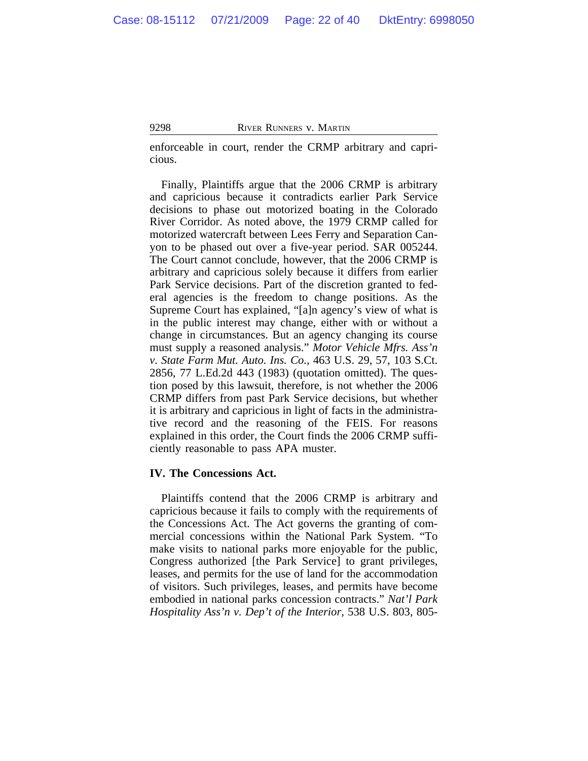enforceable in court, render the CRMP arbitrary and capricious.

Finally, Plaintiffs argue that the 2006 CRMP is arbitrary and capricious because it contradicts earlier Park Service decisions to phase out motorized boating in the Colorado River Corridor. As noted above, the 1979 CRMP called for motorized watercraft between Lees Ferry and Separation Canyon to be phased out over a five-year period. SAR 005244. The Court cannot conclude, however, that the 2006 CRMP is arbitrary and capricious solely because it differs from earlier Park Service decisions. Part of the discretion granted to federal agencies is the freedom to change positions. As the Supreme Court has explained, "[a]n agency's view of what is in the public interest may change, either with or without a change in circumstances. But an agency changing its course must supply a reasoned analysis." *Motor Vehicle Mfrs. Ass'n v. State Farm Mut. Auto. Ins. Co.,* 463 U.S. 29, 57, 103 S.Ct. 2856, 77 L.Ed.2d 443 (1983) (quotation omitted). The question posed by this lawsuit, therefore, is not whether the 2006 CRMP differs from past Park Service decisions, but whether it is arbitrary and capricious in light of facts in the administrative record and the reasoning of the FEIS. For reasons explained in this order, the Court finds the 2006 CRMP sufficiently reasonable to pass APA muster.

#### **IV. The Concessions Act.**

Plaintiffs contend that the 2006 CRMP is arbitrary and capricious because it fails to comply with the requirements of the Concessions Act. The Act governs the granting of commercial concessions within the National Park System. "To make visits to national parks more enjoyable for the public, Congress authorized [the Park Service] to grant privileges, leases, and permits for the use of land for the accommodation of visitors. Such privileges, leases, and permits have become embodied in national parks concession contracts." *Nat'l Park Hospitality Ass'n v. Dep't of the Interior,* 538 U.S. 803, 805-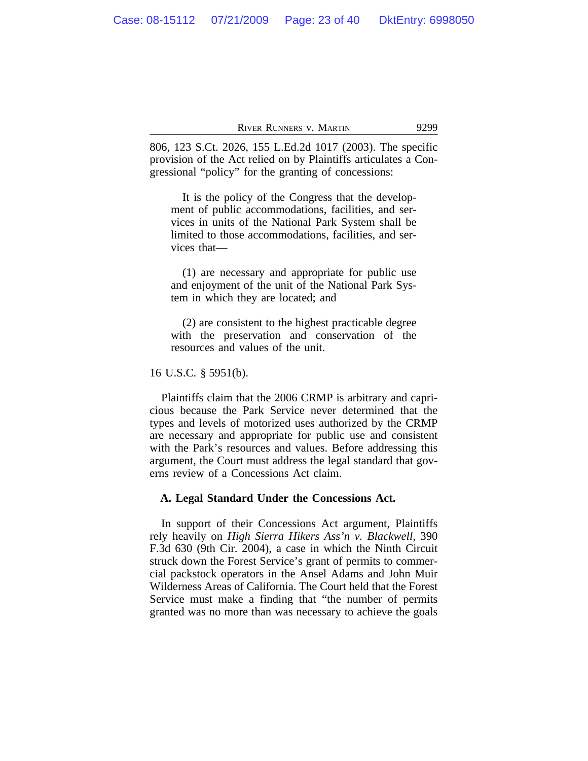806, 123 S.Ct. 2026, 155 L.Ed.2d 1017 (2003). The specific provision of the Act relied on by Plaintiffs articulates a Congressional "policy" for the granting of concessions:

It is the policy of the Congress that the development of public accommodations, facilities, and services in units of the National Park System shall be limited to those accommodations, facilities, and services that—

(1) are necessary and appropriate for public use and enjoyment of the unit of the National Park System in which they are located; and

(2) are consistent to the highest practicable degree with the preservation and conservation of the resources and values of the unit.

16 U.S.C. § 5951(b).

Plaintiffs claim that the 2006 CRMP is arbitrary and capricious because the Park Service never determined that the types and levels of motorized uses authorized by the CRMP are necessary and appropriate for public use and consistent with the Park's resources and values. Before addressing this argument, the Court must address the legal standard that governs review of a Concessions Act claim.

#### **A. Legal Standard Under the Concessions Act.**

In support of their Concessions Act argument, Plaintiffs rely heavily on *High Sierra Hikers Ass'n v. Blackwell,* 390 F.3d 630 (9th Cir. 2004), a case in which the Ninth Circuit struck down the Forest Service's grant of permits to commercial packstock operators in the Ansel Adams and John Muir Wilderness Areas of California. The Court held that the Forest Service must make a finding that "the number of permits granted was no more than was necessary to achieve the goals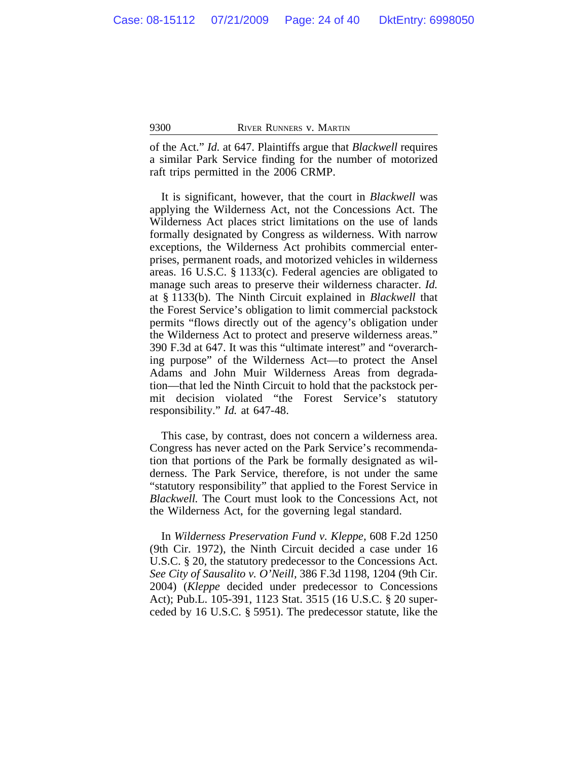of the Act." *Id.* at 647. Plaintiffs argue that *Blackwell* requires a similar Park Service finding for the number of motorized raft trips permitted in the 2006 CRMP.

It is significant, however, that the court in *Blackwell* was applying the Wilderness Act, not the Concessions Act. The Wilderness Act places strict limitations on the use of lands formally designated by Congress as wilderness. With narrow exceptions, the Wilderness Act prohibits commercial enterprises, permanent roads, and motorized vehicles in wilderness areas. 16 U.S.C. § 1133(c). Federal agencies are obligated to manage such areas to preserve their wilderness character. *Id.* at § 1133(b). The Ninth Circuit explained in *Blackwell* that the Forest Service's obligation to limit commercial packstock permits "flows directly out of the agency's obligation under the Wilderness Act to protect and preserve wilderness areas." 390 F.3d at 647. It was this "ultimate interest" and "overarching purpose" of the Wilderness Act—to protect the Ansel Adams and John Muir Wilderness Areas from degradation—that led the Ninth Circuit to hold that the packstock permit decision violated "the Forest Service's statutory responsibility." *Id.* at 647-48.

This case, by contrast, does not concern a wilderness area. Congress has never acted on the Park Service's recommendation that portions of the Park be formally designated as wilderness. The Park Service, therefore, is not under the same "statutory responsibility" that applied to the Forest Service in *Blackwell.* The Court must look to the Concessions Act, not the Wilderness Act, for the governing legal standard.

In *Wilderness Preservation Fund v. Kleppe,* 608 F.2d 1250 (9th Cir. 1972), the Ninth Circuit decided a case under 16 U.S.C. § 20, the statutory predecessor to the Concessions Act. *See City of Sausalito v. O'Neill,* 386 F.3d 1198, 1204 (9th Cir. 2004) (*Kleppe* decided under predecessor to Concessions Act); Pub.L. 105-391, 1123 Stat. 3515 (16 U.S.C. § 20 superceded by 16 U.S.C. § 5951). The predecessor statute, like the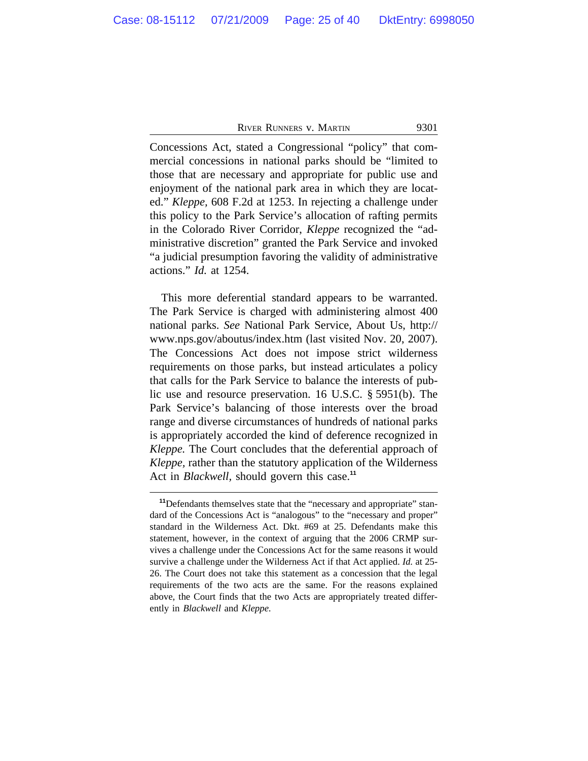Concessions Act, stated a Congressional "policy" that commercial concessions in national parks should be "limited to those that are necessary and appropriate for public use and enjoyment of the national park area in which they are located." *Kleppe,* 608 F.2d at 1253. In rejecting a challenge under this policy to the Park Service's allocation of rafting permits in the Colorado River Corridor, *Kleppe* recognized the "administrative discretion" granted the Park Service and invoked "a judicial presumption favoring the validity of administrative actions." *Id.* at 1254.

This more deferential standard appears to be warranted. The Park Service is charged with administering almost 400 national parks. *See* National Park Service, About Us, http:// www.nps.gov/aboutus/index.htm (last visited Nov. 20, 2007). The Concessions Act does not impose strict wilderness requirements on those parks, but instead articulates a policy that calls for the Park Service to balance the interests of public use and resource preservation. 16 U.S.C. § 5951(b). The Park Service's balancing of those interests over the broad range and diverse circumstances of hundreds of national parks is appropriately accorded the kind of deference recognized in *Kleppe.* The Court concludes that the deferential approach of *Kleppe,* rather than the statutory application of the Wilderness Act in *Blackwell,* should govern this case.**<sup>11</sup>**

<sup>&</sup>lt;sup>11</sup>Defendants themselves state that the "necessary and appropriate" standard of the Concessions Act is "analogous" to the "necessary and proper" standard in the Wilderness Act. Dkt. #69 at 25. Defendants make this statement, however, in the context of arguing that the 2006 CRMP survives a challenge under the Concessions Act for the same reasons it would survive a challenge under the Wilderness Act if that Act applied. *Id.* at 25- 26. The Court does not take this statement as a concession that the legal requirements of the two acts are the same. For the reasons explained above, the Court finds that the two Acts are appropriately treated differently in *Blackwell* and *Kleppe.*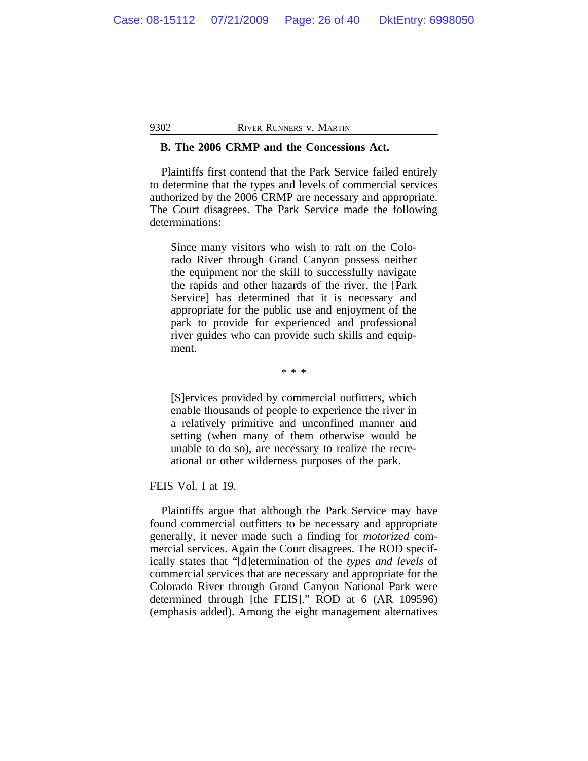#### **B. The 2006 CRMP and the Concessions Act.**

Plaintiffs first contend that the Park Service failed entirely to determine that the types and levels of commercial services authorized by the 2006 CRMP are necessary and appropriate. The Court disagrees. The Park Service made the following determinations:

Since many visitors who wish to raft on the Colorado River through Grand Canyon possess neither the equipment nor the skill to successfully navigate the rapids and other hazards of the river, the [Park Service] has determined that it is necessary and appropriate for the public use and enjoyment of the park to provide for experienced and professional river guides who can provide such skills and equipment.

\* \* \*

[S]ervices provided by commercial outfitters, which enable thousands of people to experience the river in a relatively primitive and unconfined manner and setting (when many of them otherwise would be unable to do so), are necessary to realize the recreational or other wilderness purposes of the park.

FEIS Vol. I at 19.

Plaintiffs argue that although the Park Service may have found commercial outfitters to be necessary and appropriate generally, it never made such a finding for *motorized* commercial services. Again the Court disagrees. The ROD specifically states that "[d]etermination of the *types and levels* of commercial services that are necessary and appropriate for the Colorado River through Grand Canyon National Park were determined through [the FEIS]." ROD at 6 (AR 109596) (emphasis added). Among the eight management alternatives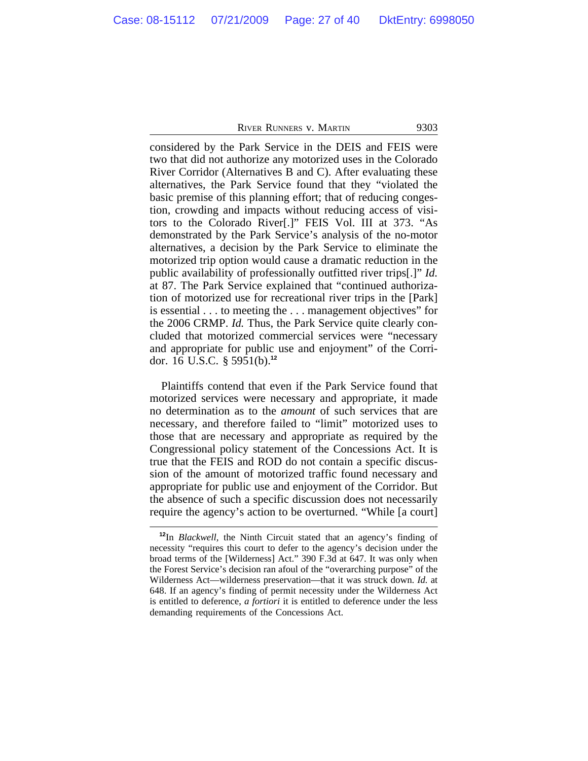considered by the Park Service in the DEIS and FEIS were two that did not authorize any motorized uses in the Colorado River Corridor (Alternatives B and C). After evaluating these alternatives, the Park Service found that they "violated the basic premise of this planning effort; that of reducing congestion, crowding and impacts without reducing access of visitors to the Colorado River[.]" FEIS Vol. III at 373. "As demonstrated by the Park Service's analysis of the no-motor alternatives, a decision by the Park Service to eliminate the motorized trip option would cause a dramatic reduction in the public availability of professionally outfitted river trips[.]" *Id.* at 87. The Park Service explained that "continued authorization of motorized use for recreational river trips in the [Park] is essential . . . to meeting the . . . management objectives" for the 2006 CRMP. *Id.* Thus, the Park Service quite clearly concluded that motorized commercial services were "necessary and appropriate for public use and enjoyment" of the Corridor. 16 U.S.C. § 5951(b). **12**

Plaintiffs contend that even if the Park Service found that motorized services were necessary and appropriate, it made no determination as to the *amount* of such services that are necessary, and therefore failed to "limit" motorized uses to those that are necessary and appropriate as required by the Congressional policy statement of the Concessions Act. It is true that the FEIS and ROD do not contain a specific discussion of the amount of motorized traffic found necessary and appropriate for public use and enjoyment of the Corridor. But the absence of such a specific discussion does not necessarily require the agency's action to be overturned. "While [a court]

**<sup>12</sup>**In *Blackwell,* the Ninth Circuit stated that an agency's finding of necessity "requires this court to defer to the agency's decision under the broad terms of the [Wilderness] Act." 390 F.3d at 647. It was only when the Forest Service's decision ran afoul of the "overarching purpose" of the Wilderness Act—wilderness preservation—that it was struck down. *Id.* at 648. If an agency's finding of permit necessity under the Wilderness Act is entitled to deference, *a fortiori* it is entitled to deference under the less demanding requirements of the Concessions Act.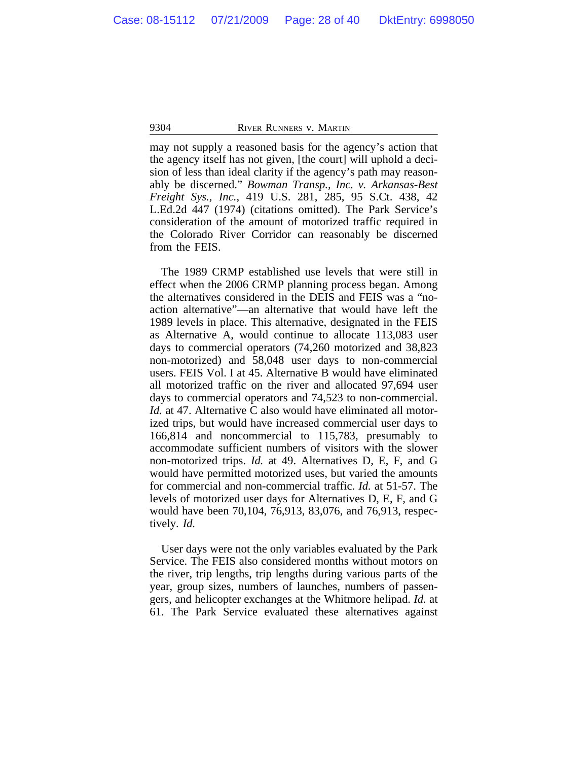may not supply a reasoned basis for the agency's action that the agency itself has not given, [the court] will uphold a decision of less than ideal clarity if the agency's path may reasonably be discerned." *Bowman Transp., Inc. v. Arkansas-Best Freight Sys., Inc.,* 419 U.S. 281, 285, 95 S.Ct. 438, 42 L.Ed.2d 447 (1974) (citations omitted). The Park Service's consideration of the amount of motorized traffic required in the Colorado River Corridor can reasonably be discerned from the FEIS.

The 1989 CRMP established use levels that were still in effect when the 2006 CRMP planning process began. Among the alternatives considered in the DEIS and FEIS was a "noaction alternative"—an alternative that would have left the 1989 levels in place. This alternative, designated in the FEIS as Alternative A, would continue to allocate 113,083 user days to commercial operators (74,260 motorized and 38,823 non-motorized) and 58,048 user days to non-commercial users. FEIS Vol. I at 45. Alternative B would have eliminated all motorized traffic on the river and allocated 97,694 user days to commercial operators and 74,523 to non-commercial. *Id.* at 47. Alternative C also would have eliminated all motorized trips, but would have increased commercial user days to 166,814 and noncommercial to 115,783, presumably to accommodate sufficient numbers of visitors with the slower non-motorized trips. *Id.* at 49. Alternatives D, E, F, and G would have permitted motorized uses, but varied the amounts for commercial and non-commercial traffic. *Id.* at 51-57. The levels of motorized user days for Alternatives D, E, F, and G would have been 70,104, 76,913, 83,076, and 76,913, respectively. *Id.*

User days were not the only variables evaluated by the Park Service. The FEIS also considered months without motors on the river, trip lengths, trip lengths during various parts of the year, group sizes, numbers of launches, numbers of passengers, and helicopter exchanges at the Whitmore helipad. *Id.* at 61. The Park Service evaluated these alternatives against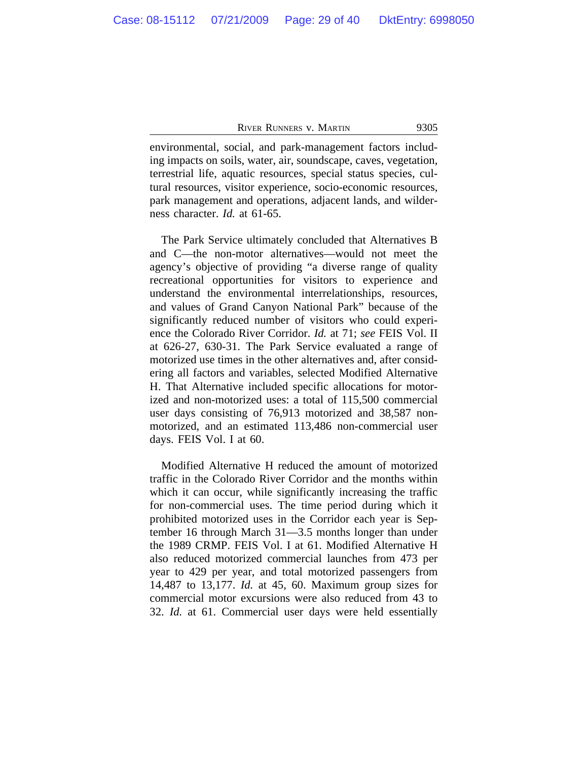environmental, social, and park-management factors including impacts on soils, water, air, soundscape, caves, vegetation, terrestrial life, aquatic resources, special status species, cultural resources, visitor experience, socio-economic resources, park management and operations, adjacent lands, and wilderness character. *Id.* at 61-65.

The Park Service ultimately concluded that Alternatives B and C—the non-motor alternatives—would not meet the agency's objective of providing "a diverse range of quality recreational opportunities for visitors to experience and understand the environmental interrelationships, resources, and values of Grand Canyon National Park" because of the significantly reduced number of visitors who could experience the Colorado River Corridor. *Id.* at 71; *see* FEIS Vol. II at 626-27, 630-31. The Park Service evaluated a range of motorized use times in the other alternatives and, after considering all factors and variables, selected Modified Alternative H. That Alternative included specific allocations for motorized and non-motorized uses: a total of 115,500 commercial user days consisting of 76,913 motorized and 38,587 nonmotorized, and an estimated 113,486 non-commercial user days. FEIS Vol. I at 60.

Modified Alternative H reduced the amount of motorized traffic in the Colorado River Corridor and the months within which it can occur, while significantly increasing the traffic for non-commercial uses. The time period during which it prohibited motorized uses in the Corridor each year is September 16 through March 31—3.5 months longer than under the 1989 CRMP. FEIS Vol. I at 61. Modified Alternative H also reduced motorized commercial launches from 473 per year to 429 per year, and total motorized passengers from 14,487 to 13,177. *Id.* at 45, 60. Maximum group sizes for commercial motor excursions were also reduced from 43 to 32. *Id.* at 61. Commercial user days were held essentially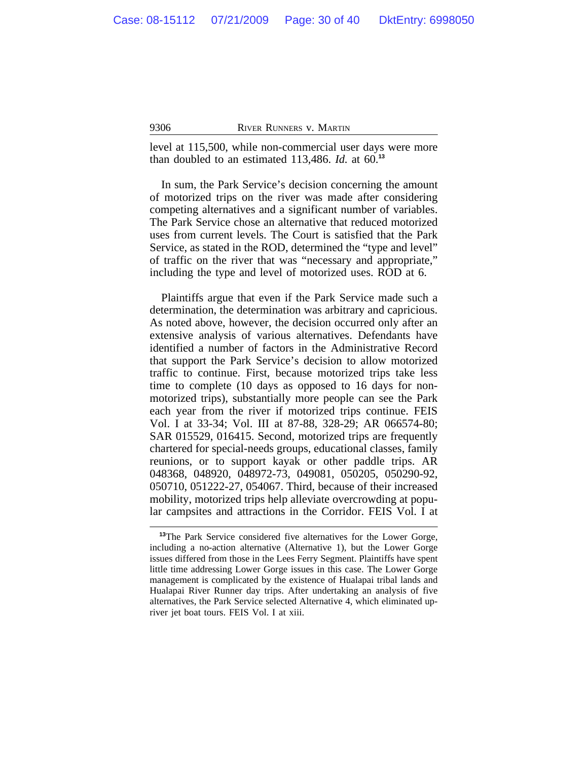level at 115,500, while non-commercial user days were more than doubled to an estimated 113,486. *Id.* at 60.**<sup>13</sup>**

In sum, the Park Service's decision concerning the amount of motorized trips on the river was made after considering competing alternatives and a significant number of variables. The Park Service chose an alternative that reduced motorized uses from current levels. The Court is satisfied that the Park Service, as stated in the ROD, determined the "type and level" of traffic on the river that was "necessary and appropriate," including the type and level of motorized uses. ROD at 6.

Plaintiffs argue that even if the Park Service made such a determination, the determination was arbitrary and capricious. As noted above, however, the decision occurred only after an extensive analysis of various alternatives. Defendants have identified a number of factors in the Administrative Record that support the Park Service's decision to allow motorized traffic to continue. First, because motorized trips take less time to complete (10 days as opposed to 16 days for nonmotorized trips), substantially more people can see the Park each year from the river if motorized trips continue. FEIS Vol. I at 33-34; Vol. III at 87-88, 328-29; AR 066574-80; SAR 015529, 016415. Second, motorized trips are frequently chartered for special-needs groups, educational classes, family reunions, or to support kayak or other paddle trips. AR 048368, 048920, 048972-73, 049081, 050205, 050290-92, 050710, 051222-27, 054067. Third, because of their increased mobility, motorized trips help alleviate overcrowding at popular campsites and attractions in the Corridor. FEIS Vol. I at

**<sup>13</sup>**The Park Service considered five alternatives for the Lower Gorge, including a no-action alternative (Alternative 1), but the Lower Gorge issues differed from those in the Lees Ferry Segment. Plaintiffs have spent little time addressing Lower Gorge issues in this case. The Lower Gorge management is complicated by the existence of Hualapai tribal lands and Hualapai River Runner day trips. After undertaking an analysis of five alternatives, the Park Service selected Alternative 4, which eliminated upriver jet boat tours. FEIS Vol. I at xiii.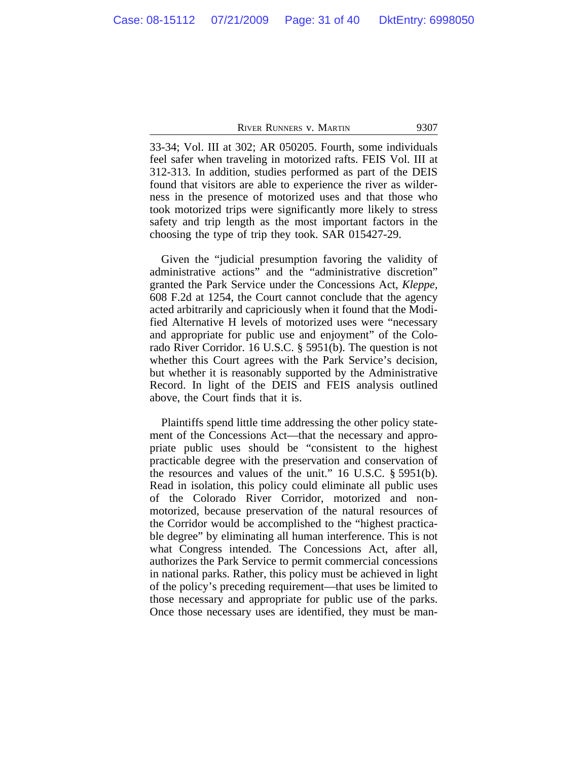33-34; Vol. III at 302; AR 050205. Fourth, some individuals feel safer when traveling in motorized rafts. FEIS Vol. III at 312-313. In addition, studies performed as part of the DEIS found that visitors are able to experience the river as wilderness in the presence of motorized uses and that those who took motorized trips were significantly more likely to stress safety and trip length as the most important factors in the choosing the type of trip they took. SAR 015427-29.

Given the "judicial presumption favoring the validity of administrative actions" and the "administrative discretion" granted the Park Service under the Concessions Act, *Kleppe,* 608 F.2d at 1254, the Court cannot conclude that the agency acted arbitrarily and capriciously when it found that the Modified Alternative H levels of motorized uses were "necessary and appropriate for public use and enjoyment" of the Colorado River Corridor. 16 U.S.C. § 5951(b). The question is not whether this Court agrees with the Park Service's decision, but whether it is reasonably supported by the Administrative Record. In light of the DEIS and FEIS analysis outlined above, the Court finds that it is.

Plaintiffs spend little time addressing the other policy statement of the Concessions Act—that the necessary and appropriate public uses should be "consistent to the highest practicable degree with the preservation and conservation of the resources and values of the unit." 16 U.S.C. § 5951(b). Read in isolation, this policy could eliminate all public uses of the Colorado River Corridor, motorized and nonmotorized, because preservation of the natural resources of the Corridor would be accomplished to the "highest practicable degree" by eliminating all human interference. This is not what Congress intended. The Concessions Act, after all, authorizes the Park Service to permit commercial concessions in national parks. Rather, this policy must be achieved in light of the policy's preceding requirement—that uses be limited to those necessary and appropriate for public use of the parks. Once those necessary uses are identified, they must be man-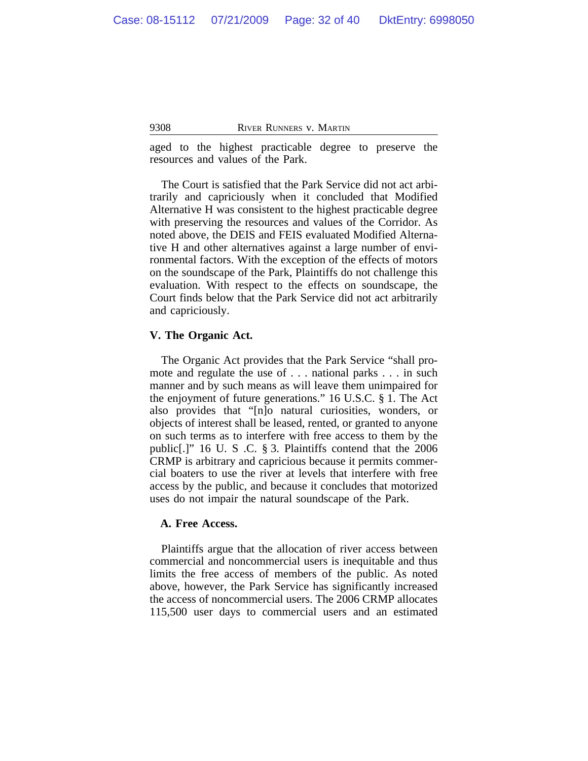aged to the highest practicable degree to preserve the resources and values of the Park.

The Court is satisfied that the Park Service did not act arbitrarily and capriciously when it concluded that Modified Alternative H was consistent to the highest practicable degree with preserving the resources and values of the Corridor. As noted above, the DEIS and FEIS evaluated Modified Alternative H and other alternatives against a large number of environmental factors. With the exception of the effects of motors on the soundscape of the Park, Plaintiffs do not challenge this evaluation. With respect to the effects on soundscape, the Court finds below that the Park Service did not act arbitrarily and capriciously.

## **V. The Organic Act.**

The Organic Act provides that the Park Service "shall promote and regulate the use of . . . national parks . . . in such manner and by such means as will leave them unimpaired for the enjoyment of future generations." 16 U.S.C. § 1. The Act also provides that "[n]o natural curiosities, wonders, or objects of interest shall be leased, rented, or granted to anyone on such terms as to interfere with free access to them by the public[.]" 16 U. S .C. § 3. Plaintiffs contend that the 2006 CRMP is arbitrary and capricious because it permits commercial boaters to use the river at levels that interfere with free access by the public, and because it concludes that motorized uses do not impair the natural soundscape of the Park.

## **A. Free Access.**

Plaintiffs argue that the allocation of river access between commercial and noncommercial users is inequitable and thus limits the free access of members of the public. As noted above, however, the Park Service has significantly increased the access of noncommercial users. The 2006 CRMP allocates 115,500 user days to commercial users and an estimated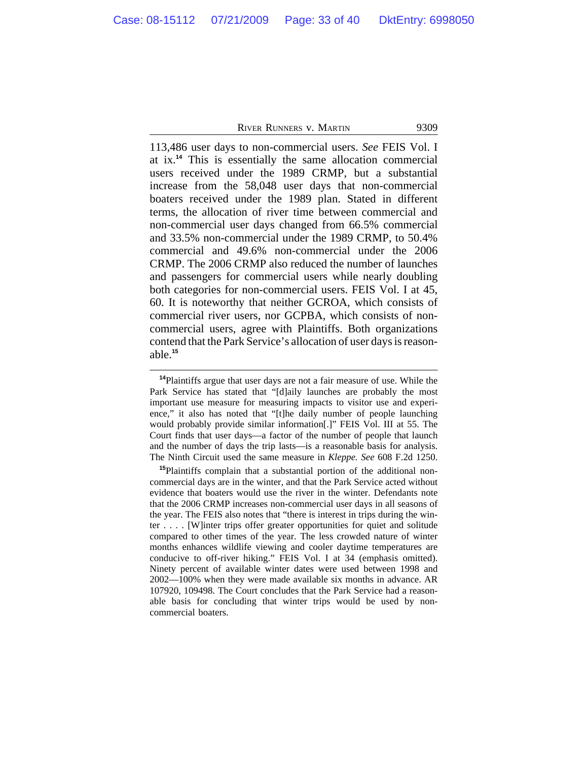113,486 user days to non-commercial users. *See* FEIS Vol. I at ix.**<sup>14</sup>** This is essentially the same allocation commercial users received under the 1989 CRMP, but a substantial increase from the 58,048 user days that non-commercial boaters received under the 1989 plan. Stated in different terms, the allocation of river time between commercial and non-commercial user days changed from 66.5% commercial and 33.5% non-commercial under the 1989 CRMP, to 50.4% commercial and 49.6% non-commercial under the 2006 CRMP. The 2006 CRMP also reduced the number of launches and passengers for commercial users while nearly doubling both categories for non-commercial users. FEIS Vol. I at 45, 60. It is noteworthy that neither GCROA, which consists of commercial river users, nor GCPBA, which consists of noncommercial users, agree with Plaintiffs. Both organizations contend that the Park Service's allocation of user days is reasonable.**<sup>15</sup>**

**<sup>14</sup>**Plaintiffs argue that user days are not a fair measure of use. While the Park Service has stated that "[d]aily launches are probably the most important use measure for measuring impacts to visitor use and experience," it also has noted that "[t]he daily number of people launching would probably provide similar information[.]" FEIS Vol. III at 55. The Court finds that user days—a factor of the number of people that launch and the number of days the trip lasts—is a reasonable basis for analysis. The Ninth Circuit used the same measure in *Kleppe. See* 608 F.2d 1250.

**<sup>15</sup>**Plaintiffs complain that a substantial portion of the additional noncommercial days are in the winter, and that the Park Service acted without evidence that boaters would use the river in the winter. Defendants note that the 2006 CRMP increases non-commercial user days in all seasons of the year. The FEIS also notes that "there is interest in trips during the winter . . . . [W]inter trips offer greater opportunities for quiet and solitude compared to other times of the year. The less crowded nature of winter months enhances wildlife viewing and cooler daytime temperatures are conducive to off-river hiking." FEIS Vol. I at 34 (emphasis omitted). Ninety percent of available winter dates were used between 1998 and 2002—100% when they were made available six months in advance. AR 107920, 109498. The Court concludes that the Park Service had a reasonable basis for concluding that winter trips would be used by noncommercial boaters.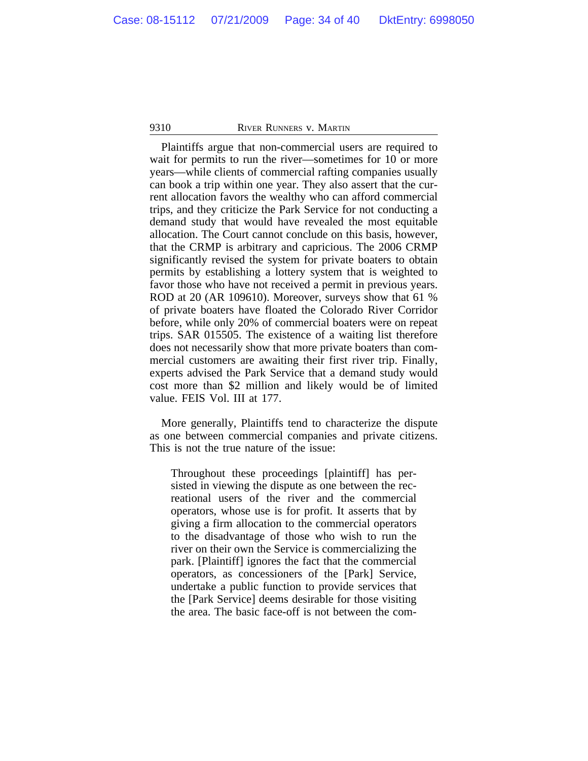Plaintiffs argue that non-commercial users are required to wait for permits to run the river—sometimes for 10 or more years—while clients of commercial rafting companies usually can book a trip within one year. They also assert that the current allocation favors the wealthy who can afford commercial trips, and they criticize the Park Service for not conducting a demand study that would have revealed the most equitable allocation. The Court cannot conclude on this basis, however, that the CRMP is arbitrary and capricious. The 2006 CRMP significantly revised the system for private boaters to obtain permits by establishing a lottery system that is weighted to favor those who have not received a permit in previous years. ROD at 20 (AR 109610). Moreover, surveys show that 61 % of private boaters have floated the Colorado River Corridor before, while only 20% of commercial boaters were on repeat trips. SAR 015505. The existence of a waiting list therefore does not necessarily show that more private boaters than commercial customers are awaiting their first river trip. Finally, experts advised the Park Service that a demand study would cost more than \$2 million and likely would be of limited value. FEIS Vol. III at 177.

More generally, Plaintiffs tend to characterize the dispute as one between commercial companies and private citizens. This is not the true nature of the issue:

Throughout these proceedings [plaintiff] has persisted in viewing the dispute as one between the recreational users of the river and the commercial operators, whose use is for profit. It asserts that by giving a firm allocation to the commercial operators to the disadvantage of those who wish to run the river on their own the Service is commercializing the park. [Plaintiff] ignores the fact that the commercial operators, as concessioners of the [Park] Service, undertake a public function to provide services that the [Park Service] deems desirable for those visiting the area. The basic face-off is not between the com-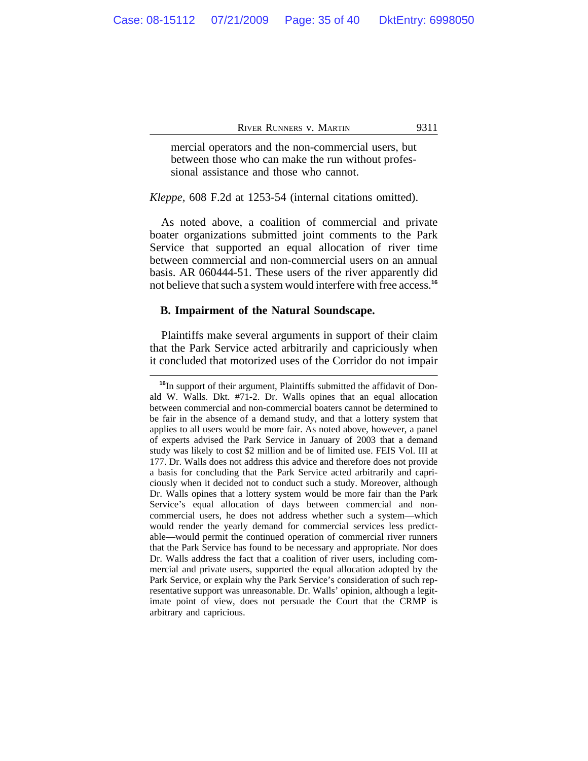mercial operators and the non-commercial users, but between those who can make the run without professional assistance and those who cannot.

*Kleppe,* 608 F.2d at 1253-54 (internal citations omitted).

As noted above, a coalition of commercial and private boater organizations submitted joint comments to the Park Service that supported an equal allocation of river time between commercial and non-commercial users on an annual basis. AR 060444-51. These users of the river apparently did not believe that such a system would interfere with free access.**<sup>16</sup>**

#### **B. Impairment of the Natural Soundscape.**

Plaintiffs make several arguments in support of their claim that the Park Service acted arbitrarily and capriciously when it concluded that motorized uses of the Corridor do not impair

**<sup>16</sup>**In support of their argument, Plaintiffs submitted the affidavit of Donald W. Walls. Dkt. #71-2. Dr. Walls opines that an equal allocation between commercial and non-commercial boaters cannot be determined to be fair in the absence of a demand study, and that a lottery system that applies to all users would be more fair. As noted above, however, a panel of experts advised the Park Service in January of 2003 that a demand study was likely to cost \$2 million and be of limited use. FEIS Vol. III at 177. Dr. Walls does not address this advice and therefore does not provide a basis for concluding that the Park Service acted arbitrarily and capriciously when it decided not to conduct such a study. Moreover, although Dr. Walls opines that a lottery system would be more fair than the Park Service's equal allocation of days between commercial and noncommercial users, he does not address whether such a system—which would render the yearly demand for commercial services less predictable—would permit the continued operation of commercial river runners that the Park Service has found to be necessary and appropriate. Nor does Dr. Walls address the fact that a coalition of river users, including commercial and private users, supported the equal allocation adopted by the Park Service, or explain why the Park Service's consideration of such representative support was unreasonable. Dr. Walls' opinion, although a legitimate point of view, does not persuade the Court that the CRMP is arbitrary and capricious.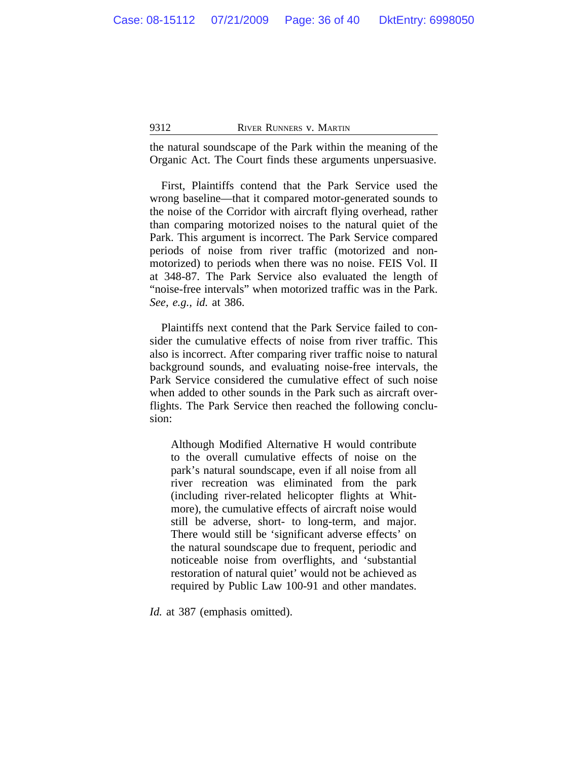the natural soundscape of the Park within the meaning of the Organic Act. The Court finds these arguments unpersuasive.

First, Plaintiffs contend that the Park Service used the wrong baseline—that it compared motor-generated sounds to the noise of the Corridor with aircraft flying overhead, rather than comparing motorized noises to the natural quiet of the Park. This argument is incorrect. The Park Service compared periods of noise from river traffic (motorized and nonmotorized) to periods when there was no noise. FEIS Vol. II at 348-87. The Park Service also evaluated the length of "noise-free intervals" when motorized traffic was in the Park. *See, e.g., id.* at 386.

Plaintiffs next contend that the Park Service failed to consider the cumulative effects of noise from river traffic. This also is incorrect. After comparing river traffic noise to natural background sounds, and evaluating noise-free intervals, the Park Service considered the cumulative effect of such noise when added to other sounds in the Park such as aircraft overflights. The Park Service then reached the following conclusion:

Although Modified Alternative H would contribute to the overall cumulative effects of noise on the park's natural soundscape, even if all noise from all river recreation was eliminated from the park (including river-related helicopter flights at Whitmore), the cumulative effects of aircraft noise would still be adverse, short- to long-term, and major. There would still be 'significant adverse effects' on the natural soundscape due to frequent, periodic and noticeable noise from overflights, and 'substantial restoration of natural quiet' would not be achieved as required by Public Law 100-91 and other mandates.

*Id.* at 387 (emphasis omitted).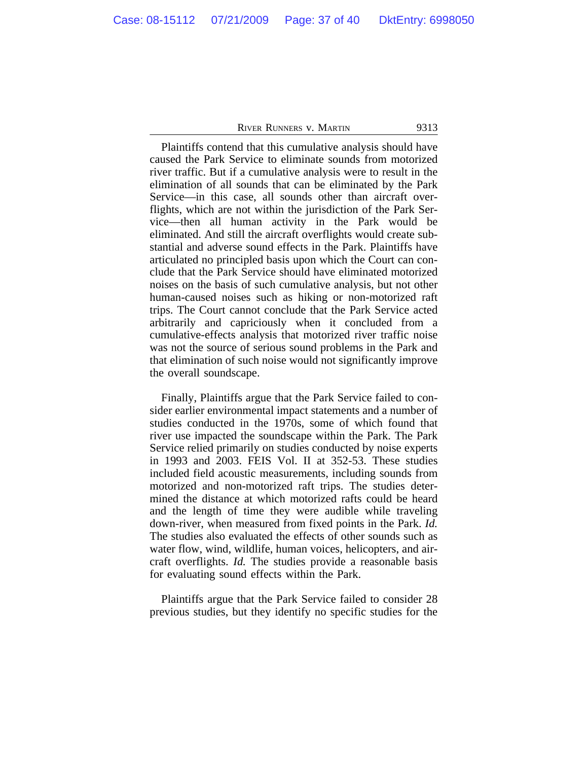Plaintiffs contend that this cumulative analysis should have caused the Park Service to eliminate sounds from motorized river traffic. But if a cumulative analysis were to result in the elimination of all sounds that can be eliminated by the Park Service—in this case, all sounds other than aircraft overflights, which are not within the jurisdiction of the Park Service—then all human activity in the Park would be eliminated. And still the aircraft overflights would create substantial and adverse sound effects in the Park. Plaintiffs have articulated no principled basis upon which the Court can conclude that the Park Service should have eliminated motorized noises on the basis of such cumulative analysis, but not other human-caused noises such as hiking or non-motorized raft trips. The Court cannot conclude that the Park Service acted arbitrarily and capriciously when it concluded from a cumulative-effects analysis that motorized river traffic noise was not the source of serious sound problems in the Park and that elimination of such noise would not significantly improve the overall soundscape.

Finally, Plaintiffs argue that the Park Service failed to consider earlier environmental impact statements and a number of studies conducted in the 1970s, some of which found that river use impacted the soundscape within the Park. The Park Service relied primarily on studies conducted by noise experts in 1993 and 2003. FEIS Vol. II at 352-53. These studies included field acoustic measurements, including sounds from motorized and non-motorized raft trips. The studies determined the distance at which motorized rafts could be heard and the length of time they were audible while traveling down-river, when measured from fixed points in the Park. *Id.* The studies also evaluated the effects of other sounds such as water flow, wind, wildlife, human voices, helicopters, and aircraft overflights. *Id.* The studies provide a reasonable basis for evaluating sound effects within the Park.

Plaintiffs argue that the Park Service failed to consider 28 previous studies, but they identify no specific studies for the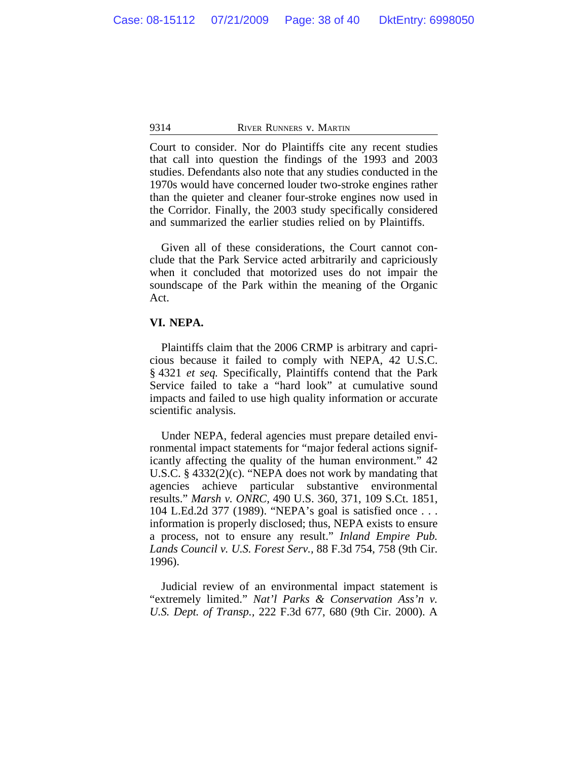Court to consider. Nor do Plaintiffs cite any recent studies that call into question the findings of the 1993 and 2003 studies. Defendants also note that any studies conducted in the 1970s would have concerned louder two-stroke engines rather than the quieter and cleaner four-stroke engines now used in the Corridor. Finally, the 2003 study specifically considered and summarized the earlier studies relied on by Plaintiffs.

Given all of these considerations, the Court cannot conclude that the Park Service acted arbitrarily and capriciously when it concluded that motorized uses do not impair the soundscape of the Park within the meaning of the Organic Act.

## **VI. NEPA.**

Plaintiffs claim that the 2006 CRMP is arbitrary and capricious because it failed to comply with NEPA, 42 U.S.C. § 4321 *et seq.* Specifically, Plaintiffs contend that the Park Service failed to take a "hard look" at cumulative sound impacts and failed to use high quality information or accurate scientific analysis.

Under NEPA, federal agencies must prepare detailed environmental impact statements for "major federal actions significantly affecting the quality of the human environment." 42 U.S.C. § 4332(2)(c). "NEPA does not work by mandating that agencies achieve particular substantive environmental results." *Marsh v. ONRC,* 490 U.S. 360, 371, 109 S.Ct. 1851, 104 L.Ed.2d 377 (1989). "NEPA's goal is satisfied once . . . information is properly disclosed; thus, NEPA exists to ensure a process, not to ensure any result." *Inland Empire Pub. Lands Council v. U.S. Forest Serv.,* 88 F.3d 754, 758 (9th Cir. 1996).

Judicial review of an environmental impact statement is "extremely limited." *Nat'l Parks & Conservation Ass'n v. U.S. Dept. of Transp.,* 222 F.3d 677, 680 (9th Cir. 2000). A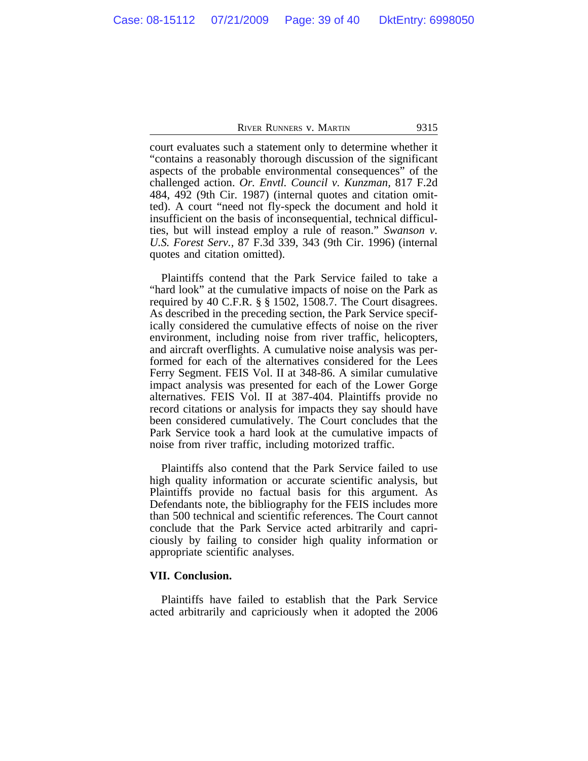court evaluates such a statement only to determine whether it "contains a reasonably thorough discussion of the significant aspects of the probable environmental consequences" of the challenged action. *Or. Envtl. Council v. Kunzman,* 817 F.2d 484, 492 (9th Cir. 1987) (internal quotes and citation omitted). A court "need not fly-speck the document and hold it insufficient on the basis of inconsequential, technical difficulties, but will instead employ a rule of reason." *Swanson v. U.S. Forest Serv.,* 87 F.3d 339, 343 (9th Cir. 1996) (internal quotes and citation omitted).

Plaintiffs contend that the Park Service failed to take a "hard look" at the cumulative impacts of noise on the Park as required by 40 C.F.R. § § 1502, 1508.7. The Court disagrees. As described in the preceding section, the Park Service specifically considered the cumulative effects of noise on the river environment, including noise from river traffic, helicopters, and aircraft overflights. A cumulative noise analysis was performed for each of the alternatives considered for the Lees Ferry Segment. FEIS Vol. II at 348-86. A similar cumulative impact analysis was presented for each of the Lower Gorge alternatives. FEIS Vol. II at 387-404. Plaintiffs provide no record citations or analysis for impacts they say should have been considered cumulatively. The Court concludes that the Park Service took a hard look at the cumulative impacts of noise from river traffic, including motorized traffic.

Plaintiffs also contend that the Park Service failed to use high quality information or accurate scientific analysis, but Plaintiffs provide no factual basis for this argument. As Defendants note, the bibliography for the FEIS includes more than 500 technical and scientific references. The Court cannot conclude that the Park Service acted arbitrarily and capriciously by failing to consider high quality information or appropriate scientific analyses.

#### **VII. Conclusion.**

Plaintiffs have failed to establish that the Park Service acted arbitrarily and capriciously when it adopted the 2006